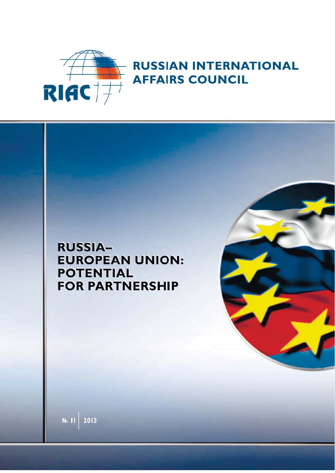

## **RUSSIAN INTERNATIONAL AFFAIRS COUNCIL**

## **RUSSIA-EUROPEAN UNION: POTENTIAL FOR PARTNERSHIP**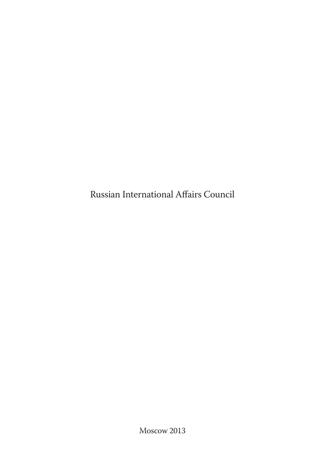Russian International Affairs Council

Moscow 2013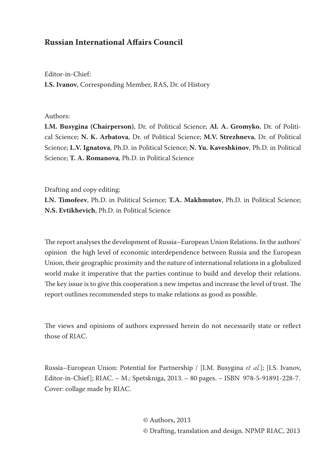#### **Russian International Affairs Council**

Editor-in-Chief: **I.S. Ivanov**, Corresponding Member, RAS, Dr. of History

#### Authors:

**I.M. Busygina (Chairperson)**, Dr. of Political Science; **Al. A. Gromyko**, Dr. of Political Science; **N. K. Arbatova**, Dr. of Political Science; **M.V. Strezhneva**, Dr. of Political Science; **L.V. Ignatova**, Ph.D. in Political Science; **N. Yu. Kaveshkinov**, Ph.D. in Political Science; **T. A. Romanova**, Ph.D. in Political Science

Drafting and copy editing:

**I.N. Timofeev**, Ph.D. in Political Science; **T.A. Makhmutov**, Ph.D. in Political Science; **N.S. Evtikhevich**, Ph.D. in Political Science

The report analyses the development of Russia–European Union Relations. In the authors' opinion the high level of economic interdependence between Russia and the European Union, their geographic proximity and the nature of international relations in a globalized world make it imperative that the parties continue to build and develop their relations. The key issue is to give this cooperation a new impetus and increase the level of trust. The report outlines recommended steps to make relations as good as possible.

The views and opinions of authors expressed herein do not necessarily state or reflect those of RIAC.

Russia–European Union: Potential for Partnership / [I.M. Busygina *et al.*]; [I.S. Ivanov, Editor-in-Chief]; RIAC. – M.: Spetskniga, 2013. – 80 pages. – ISBN 978-5-91891-228-7. Cover: collage made by RIAC.

> © Authors, 2013 © Drafting, translation and design. NPMP RIAC, 2013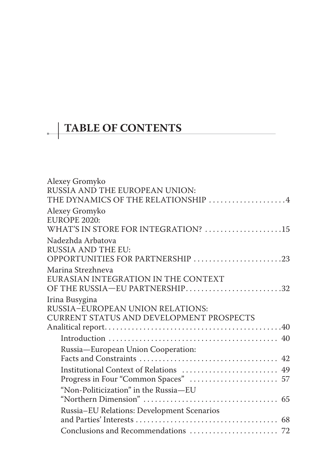# **TABLE OF CONTENTS**

| Alexey Gromyko                             |
|--------------------------------------------|
| RUSSIA AND THE EUROPEAN UNION:             |
| THE DYNAMICS OF THE RELATIONSHIP 4         |
| Alexey Gromyko                             |
| <b>EUROPE 2020:</b>                        |
| WHAT'S IN STORE FOR INTEGRATION? 15        |
| Nadezhda Arbatova                          |
| <b>RUSSIA AND THE EU:</b>                  |
| OPPORTUNITIES FOR PARTNERSHIP 23           |
| Marina Strezhneva                          |
| EURASIAN INTEGRATION IN THE CONTEXT        |
| OF THE RUSSIA-EU PARTNERSHIP32             |
| Irina Busygina                             |
| RUSSIA-EUROPEAN UNION RELATIONS:           |
| CURRENT STATUS AND DEVELOPMENT PROSPECTS   |
|                                            |
|                                            |
| Russia-European Union Cooperation:         |
|                                            |
| Institutional Context of Relations  49     |
|                                            |
| "Non-Politicization" in the Russia-EU      |
|                                            |
| Russia-EU Relations: Development Scenarios |
|                                            |
|                                            |
|                                            |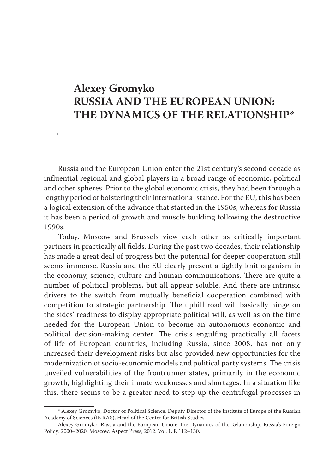## **Alexey Gromyko RUSSIA AND THE EUROPEAN UNION: THE DYNAMICS OF THE RELATIONSHIP\***

Russia and the European Union enter the 21st century's second decade as influential regional and global players in a broad range of economic, political and other spheres. Prior to the global economic crisis, they had been through a lengthy period of bolstering their international stance. For the EU, this has been a logical extension of the advance that started in the 1950s, whereas for Russia it has been a period of growth and muscle building following the destructive 1990s.

Today, Moscow and Brussels view each other as critically important partners in practically all fields. During the past two decades, their relationship has made a great deal of progress but the potential for deeper cooperation still seems immense. Russia and the EU clearly present a tightly knit organism in the economy, science, culture and human communications. There are quite a number of political problems, but all appear soluble. And there are intrinsic drivers to the switch from mutually beneficial cooperation combined with competition to strategic partnership. The uphill road will basically hinge on the sides' readiness to display appropriate political will, as well as on the time needed for the European Union to become an autonomous economic and political decision-making center. The crisis engulfing practically all facets of life of European countries, including Russia, since 2008, has not only increased their development risks but also provided new opportunities for the modernization of socio-economic models and political party systems. The crisis unveiled vulnerabilities of the frontrunner states, primarily in the economic growth, highlighting their innate weaknesses and shortages. In a situation like this, there seems to be a greater need to step up the centrifugal processes in

<sup>\*</sup> Alexey Gromyko, Doctor of Political Science, Deputy Director of the Institute of Europe of the Russian Academy of Sciences (IE RAS), Head of the Center for British Studies.

Alexey Gromyko. Russia and the European Union: The Dynamics of the Relationship. Russia's Foreign Policy: 2000–2020. Moscow: Aspect Press, 2012. Vol. 1. P. 112–130.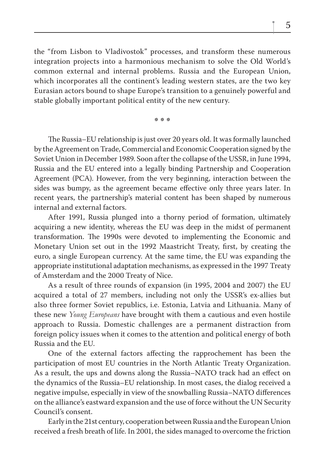the "from Lisbon to Vladivostok" processes, and transform these numerous integration projects into a harmonious mechanism to solve the Old World's common external and internal problems. Russia and the European Union, which incorporates all the continent's leading western states, are the two key Eurasian actors bound to shape Europe's transition to a genuinely powerful and stable globally important political entity of the new century.

**\* \* \***

The Russia–EU relationship is just over 20 years old. It was formally launched by the Agreement on Trade, Commercial and Economic Cooperation signed by the Soviet Union in December 1989. Soon after the collapse of the USSR, in June 1994, Russia and the EU entered into a legally binding Partnership and Cooperation Agreement (PCA). However, from the very beginning, interaction between the sides was bumpy, as the agreement became effective only three years later. In recent years, the partnership's material content has been shaped by numerous internal and external factors.

After 1991, Russia plunged into a thorny period of formation, ultimately acquiring a new identity, whereas the EU was deep in the midst of permanent transformation. The 1990s were devoted to implementing the Economic and Monetary Union set out in the 1992 Maastricht Treaty, first, by creating the euro, a single European currency. At the same time, the EU was expanding the appropriate institutional adaptation mechanisms, as expressed in the 1997 Treaty of Amsterdam and the 2000 Treaty of Nice.

As a result of three rounds of expansion (in 1995, 2004 and 2007) the EU acquired a total of 27 members, including not only the USSR's ex-allies but also three former Soviet republics, i.e. Estonia, Latvia and Lithuania. Many of these new *Young Europeans* have brought with them a cautious and even hostile approach to Russia. Domestic challenges are a permanent distraction from foreign policy issues when it comes to the attention and political energy of both Russia and the EU.

One of the external factors affecting the rapprochement has been the participation of most EU countries in the North Atlantic Treaty Organization. As a result, the ups and downs along the Russia–NATO track had an effect on the dynamics of the Russia–EU relationship. In most cases, the dialog received a negative impulse, especially in view of the snowballing Russia–NATO differences on the alliance's eastward expansion and the use of force without the UN Security Council's consent.

Early in the 21st century, cooperation between Russia and the European Union received a fresh breath of life. In 2001, the sides managed to overcome the friction

5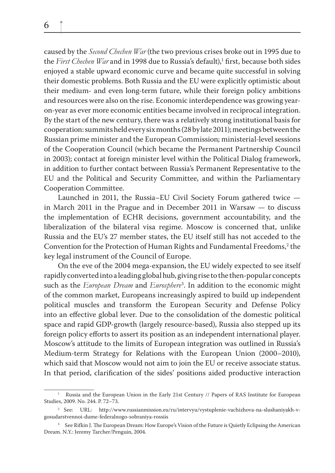caused by the *Second Chechen War* (the two previous crises broke out in 1995 due to the *First Chechen War* and in 1998 due to Russia's default),<sup>1</sup> first, because both sides enjoyed a stable upward economic curve and became quite successful in solving their domestic problems. Both Russia and the EU were explicitly optimistic about their medium- and even long-term future, while their foreign policy ambitions and resources were also on the rise. Economic interdependence was growing yearon-year as ever more economic entities became involved in reciprocal integration. By the start of the new century, there was a relatively strong institutional basis for cooperation: summits held every six months (28 by late 2011); meetings between the Russian prime minister and the European Commission; ministerial-level sessions of the Cooperation Council (which became the Permanent Partnership Council in 2003); contact at foreign minister level within the Political Dialog framework, in addition to further contact between Russia's Permanent Representative to the EU and the Political and Security Committee, and within the Parliamentary Cooperation Committee.

Launched in 2011, the Russia–EU Civil Society Forum gathered twice in March 2011 in the Prague and in December 2011 in Warsaw — to discuss the implementation of ECHR decisions, government accountability, and the liberalization of the bilateral visa regime. Moscow is concerned that, unlike Russia and the EU's 27 member states, the EU itself still has not acceded to the Convention for the Protection of Human Rights and Fundamental Freedoms,<sup>2</sup> the key legal instrument of the Council of Europe.

On the eve of the 2004 mega-expansion, the EU widely expected to see itself rapidly converted into a leading global hub, giving rise to the then-popular concepts such as the *European Dream* and *Eurosphere*<sup>3</sup> . In addition to the economic might of the common market, Europeans increasingly aspired to build up independent political muscles and transform the European Security and Defense Policy into an effective global lever. Due to the consolidation of the domestic political space and rapid GDP-growth (largely resource-based), Russia also stepped up its foreign policy efforts to assert its position as an independent international player. Moscow's attitude to the limits of European integration was outlined in Russia's Medium-term Strategy for Relations with the European Union (2000–2010), which said that Moscow would not aim to join the EU or receive associate status. In that period, clarification of the sides' positions aided productive interaction

6

<sup>1</sup> Russia and the European Union in the Early 21st Century // Papers of RAS Institute for European Studies, 2009. No. 244. P. 72–73.

<sup>2</sup> See: URL: http://www.russianmission.eu/ru/intervyu/vystuplenie-vachizhova-na-slushaniyakh-vgosudarstvennoi-dume-federalnogo-sobraniya-rossiis

 $^3$  See Rifkin J. The European Dream: How Europe's Vision of the Future is Quietly Eclipsing the American Dream. N.Y.: Jeremy Tarcher/Penguin, 2004.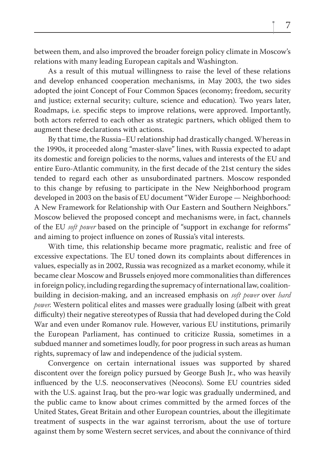between them, and also improved the broader foreign policy climate in Moscow's relations with many leading European capitals and Washington.

As a result of this mutual willingness to raise the level of these relations and develop enhanced cooperation mechanisms, in May 2003, the two sides adopted the joint Concept of Four Common Spaces (economy; freedom, security and justice; external security; culture, science and education). Two years later, Roadmaps, i.e. specific steps to improve relations, were approved. Importantly, both actors referred to each other as strategic partners, which obliged them to augment these declarations with actions.

By that time, the Russia–EU relationship had drastically changed. Whereas in the 1990s, it proceeded along "master-slave" lines, with Russia expected to adapt its domestic and foreign policies to the norms, values and interests of the EU and entire Euro-Atlantic community, in the first decade of the 21st century the sides tended to regard each other as unsubordinated partners. Moscow responded to this change by refusing to participate in the New Neighborhood program developed in 2003 on the basis of EU document "Wider Europe — Neighborhood: A New Framework for Relationship with Our Eastern and Southern Neighbors." Moscow believed the proposed concept and mechanisms were, in fact, channels of the EU *soft power* based on the principle of "support in exchange for reforms" and aiming to project influence on zones of Russia's vital interests.

With time, this relationship became more pragmatic, realistic and free of excessive expectations. The EU toned down its complaints about differences in values, especially as in 2002, Russia was recognized as a market economy, while it became clear Moscow and Brussels enjoyed more commonalities than differences in foreign policy, including regarding the supremacy of international law, coalitionbuilding in decision-making, and an increased emphasis on *soft power* over *hard power*. Western political elites and masses were gradually losing (albeit with great difficulty) their negative stereotypes of Russia that had developed during the Cold War and even under Romanov rule. However, various EU institutions, primarily the European Parliament, has continued to criticize Russia, sometimes in a subdued manner and sometimes loudly, for poor progress in such areas as human rights, supremacy of law and independence of the judicial system.

Convergence on certain international issues was supported by shared discontent over the foreign policy pursued by George Bush Jr., who was heavily influenced by the U.S. neoconservatives (Neocons). Some EU countries sided with the U.S. against Iraq, but the pro-war logic was gradually undermined, and the public came to know about crimes committed by the armed forces of the United States, Great Britain and other European countries, about the illegitimate treatment of suspects in the war against terrorism, about the use of torture against them by some Western secret services, and about the connivance of third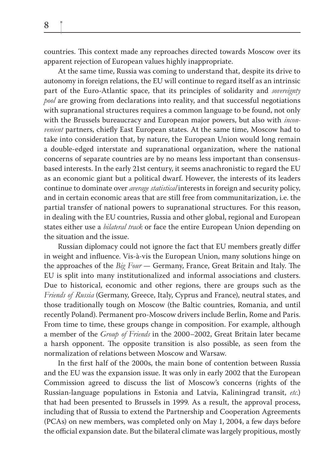countries. This context made any reproaches directed towards Moscow over its apparent rejection of European values highly inappropriate.

At the same time, Russia was coming to understand that, despite its drive to autonomy in foreign relations, the EU will continue to regard itself as an intrinsic part of the Euro-Atlantic space, that its principles of solidarity and *sovereignty pool* are growing from declarations into reality, and that successful negotiations with supranational structures requires a common language to be found, not only with the Brussels bureaucracy and European major powers, but also with *inconvenient* partners, chiefly East European states. At the same time, Moscow had to take into consideration that, by nature, the European Union would long remain a double-edged interstate and supranational organization, where the national concerns of separate countries are by no means less important than consensusbased interests. In the early 21st century, it seems anachronistic to regard the EU as an economic giant but a political dwarf. However, the interests of its leaders continue to dominate over *average statistical* interests in foreign and security policy, and in certain economic areas that are still free from communitarization, i.e. the partial transfer of national powers to supranational structures. For this reason, in dealing with the EU countries, Russia and other global, regional and European states either use a *bilateral track* or face the entire European Union depending on the situation and the issue.

Russian diplomacy could not ignore the fact that EU members greatly differ in weight and influence. Vis-à-vis the European Union, many solutions hinge on the approaches of the *Big Four* — Germany, France, Great Britain and Italy. The EU is split into many institutionalized and informal associations and clusters. Due to historical, economic and other regions, there are groups such as the *Friends of Russia* (Germany, Greece, Italy, Cyprus and France), neutral states, and those traditionally tough on Moscow (the Baltic countries, Romania, and until recently Poland). Permanent pro-Moscow drivers include Berlin, Rome and Paris. From time to time, these groups change in composition. For example, although a member of the *Group of Friends* in the 2000–2002, Great Britain later became a harsh opponent. The opposite transition is also possible, as seen from the normalization of relations between Moscow and Warsaw.

In the first half of the 2000s, the main bone of contention between Russia and the EU was the expansion issue. It was only in early 2002 that the European Commission agreed to discuss the list of Moscow's concerns (rights of the Russian-language populations in Estonia and Latvia, Kaliningrad transit, *etc.*) that had been presented to Brussels in 1999. As a result, the approval process, including that of Russia to extend the Partnership and Cooperation Agreements (PCAs) on new members, was completed only on May 1, 2004, a few days before the official expansion date. But the bilateral climate was largely propitious, mostly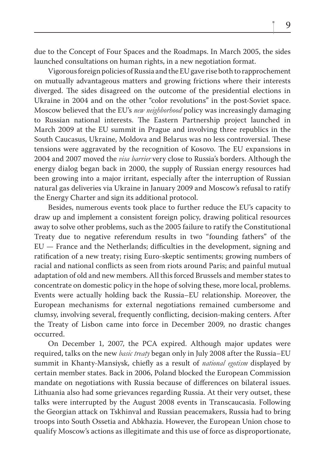due to the Concept of Four Spaces and the Roadmaps. In March 2005, the sides launched consultations on human rights, in a new negotiation format.

Vigorous foreign policies of Russia and the EU gave rise both to rapprochement on mutually advantageous matters and growing frictions where their interests diverged. The sides disagreed on the outcome of the presidential elections in Ukraine in 2004 and on the other "color revolutions" in the post-Soviet space. Moscow believed that the EU's *new neighborhood* policy was increasingly damaging to Russian national interests. The Eastern Partnership project launched in March 2009 at the EU summit in Prague and involving three republics in the South Caucasus, Ukraine, Moldova and Belarus was no less controversial. These tensions were aggravated by the recognition of Kosovo. The EU expansions in 2004 and 2007 moved the *visa barrier* very close to Russia's borders. Although the energy dialog began back in 2000, the supply of Russian energy resources had been growing into a major irritant, especially after the interruption of Russian natural gas deliveries via Ukraine in January 2009 and Moscow's refusal to ratify the Energy Charter and sign its additional protocol.

Besides, numerous events took place to further reduce the EU's capacity to draw up and implement a consistent foreign policy, drawing political resources away to solve other problems, such as the 2005 failure to ratify the Constitutional Treaty due to negative referendum results in two "founding fathers" of the  $EU$  — France and the Netherlands; difficulties in the development, signing and ratification of a new treaty; rising Euro-skeptic sentiments; growing numbers of racial and national conflicts as seen from riots around Paris; and painful mutual adaptation of old and new members. All this forced Brussels and member states to concentrate on domestic policy in the hope of solving these, more local, problems. Events were actually holding back the Russia–EU relationship. Moreover, the European mechanisms for external negotiations remained cumbersome and clumsy, involving several, frequently conflicting, decision-making centers. After the Treaty of Lisbon came into force in December 2009, no drastic changes occurred.

On December 1, 2007, the PCA expired. Although major updates were required, talks on the new *basic treaty* began only in July 2008 after the Russia–EU summit in Khanty-Mansiysk, chiefly as a result of *national egotism* displayed by certain member states. Back in 2006, Poland blocked the European Commission mandate on negotiations with Russia because of differences on bilateral issues. Lithuania also had some grievances regarding Russia. At their very outset, these talks were interrupted by the August 2008 events in Transcaucasia. Following the Georgian attack on Tskhinval and Russian peacemakers, Russia had to bring troops into South Ossetia and Abkhazia. However, the European Union chose to qualify Moscow's actions as illegitimate and this use of force as disproportionate,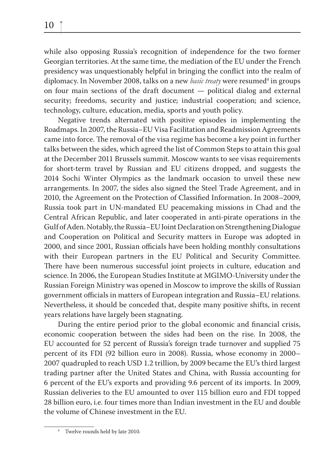while also opposing Russia's recognition of independence for the two former Georgian territories. At the same time, the mediation of the EU under the French presidency was unquestionably helpful in bringing the conflict into the realm of diplomacy. In November 2008, talks on a new *basic treaty* were resumed<sup>4</sup> in groups on four main sections of the draft document — political dialog and external security; freedoms, security and justice; industrial cooperation; and science, technology, culture, education, media, sports and youth policy.

Negative trends alternated with positive episodes in implementing the Roadmaps. In 2007, the Russia–EU Visa Facilitation and Readmission Agreements came into force. The removal of the visa regime has become a key point in further talks between the sides, which agreed the list of Common Steps to attain this goal at the December 2011 Brussels summit. Moscow wants to see visas requirements for short-term travel by Russian and EU citizens dropped, and suggests the 2014 Sochi Winter Olympics as the landmark occasion to unveil these new arrangements. In 2007, the sides also signed the Steel Trade Agreement, and in 2010, the Agreement on the Protection of Classified Information. In 2008–2009, Russia took part in UN-mandated EU peacemaking missions in Chad and the Central African Republic, and later cooperated in anti-pirate operations in the Gulf of Aden. Notably, the Russia–EU Joint Declaration on Strengthening Dialogue and Cooperation on Political and Security matters in Europe was adopted in 2000, and since 2001, Russian officials have been holding monthly consultations with their European partners in the EU Political and Security Committee. There have been numerous successful joint projects in culture, education and science. In 2006, the European Studies Institute at MGIMO-University under the Russian Foreign Ministry was opened in Moscow to improve the skills of Russian government officials in matters of European integration and Russia–EU relations. Nevertheless, it should be conceded that, despite many positive shifts, in recent years relations have largely been stagnating.

During the entire period prior to the global economic and financial crisis, economic cooperation between the sides had been on the rise. In 2008, the EU accounted for 52 percent of Russia's foreign trade turnover and supplied 75 percent of its FDI (92 billion euro in 2008). Russia, whose economy in 2000– 2007 quadrupled to reach USD 1.2 trillion, by 2009 became the EU's third largest trading partner after the United States and China, with Russia accounting for 6 percent of the EU's exports and providing 9.6 percent of its imports. In 2009, Russian deliveries to the EU amounted to over 115 billion euro and FDI topped 28 billion euro, i.e. four times more than Indian investment in the EU and double the volume of Chinese investment in the EU.

<sup>4</sup> Twelve rounds held by late 2010.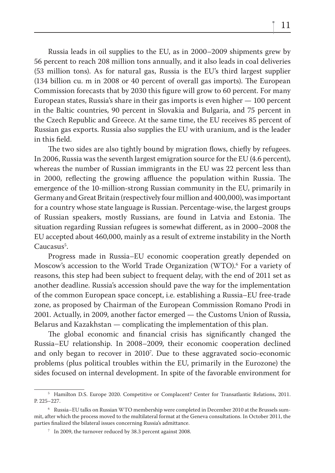Russia leads in oil supplies to the EU, as in 2000–2009 shipments grew by 56 percent to reach 208 million tons annually, and it also leads in coal deliveries (53 million tons). As for natural gas, Russia is the EU's third largest supplier  $(134$  billion cu. m in 2008 or 40 percent of overall gas imports). The European Commission forecasts that by 2030 this figure will grow to 60 percent. For many European states, Russia's share in their gas imports is even higher — 100 percent in the Baltic countries, 90 percent in Slovakia and Bulgaria, and 75 percent in the Czech Republic and Greece. At the same time, the EU receives 85 percent of Russian gas exports. Russia also supplies the EU with uranium, and is the leader in this field.

The two sides are also tightly bound by migration flows, chiefly by refugees. In 2006, Russia was the seventh largest emigration source for the EU (4.6 percent), whereas the number of Russian immigrants in the EU was 22 percent less than in 2000, reflecting the growing affluence the population within Russia. The emergence of the 10-million-strong Russian community in the EU, primarily in Germany and Great Britain (respectively four million and 400,000), was important for a country whose state language is Russian. Percentage-wise, the largest groups of Russian speakers, mostly Russians, are found in Latvia and Estonia. The situation regarding Russian refugees is somewhat different, as in 2000–2008 the EU accepted about 460,000, mainly as a result of extreme instability in the North Caucasus<sup>5</sup>.

Progress made in Russia–EU economic cooperation greatly depended on Moscow's accession to the World Trade Organization (WTO).6 For a variety of reasons, this step had been subject to frequent delay, with the end of 2011 set as another deadline. Russia's accession should pave the way for the implementation of the common European space concept, i.e. establishing a Russia–EU free-trade zone, as proposed by Chairman of the European Commission Romano Prodi in 2001. Actually, in 2009, another factor emerged — the Customs Union of Russia, Belarus and Kazakhstan — complicating the implementation of this plan.

The global economic and financial crisis has significantly changed the Russia–EU relationship. In 2008–2009, their economic cooperation declined and only began to recover in 2010<sup>7</sup>. Due to these aggravated socio-economic problems (plus political troubles within the EU, primarily in the Eurozone) the sides focused on internal development. In spite of the favorable environment for

<sup>5</sup> Hamilton D.S. Europe 2020. Competitive or Complacent? Center for Transatlantic Relations, 2011. P. 225–227.

 $^{\rm 6}~$  Russia–EU talks on Russian WTO membership were completed in December 2010 at the Brussels summit, after which the process moved to the multilateral format at the Geneva consultations. In October 2011, the parties finalized the bilateral issues concerning Russia's admittance.

 $7$  In 2009, the turnover reduced by 38.3 percent against 2008.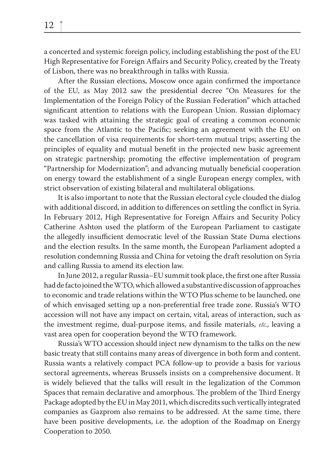a concerted and systemic foreign policy, including establishing the post of the EU High Representative for Foreign Affairs and Security Policy, created by the Treaty of Lisbon, there was no breakthrough in talks with Russia.

After the Russian elections, Moscow once again confirmed the importance of the EU, as May 2012 saw the presidential decree "On Measures for the Implementation of the Foreign Policy of the Russian Federation" which attached significant attention to relations with the European Union. Russian diplomacy was tasked with attaining the strategic goal of creating a common economic space from the Atlantic to the Pacific; seeking an agreement with the EU on the cancellation of visa requirements for short-term mutual trips; asserting the principles of equality and mutual benefit in the projected new basic agreement on strategic partnership; promoting the effective implementation of program "Partnership for Modernization"; and advancing mutually beneficial cooperation on energy toward the establishment of a single European energy complex, with strict observation of existing bilateral and multilateral obligations.

It is also important to note that the Russian electoral cycle clouded the dialog with additional discord, in addition to differences on settling the conflict in Syria. In February 2012, High Representative for Foreign Affairs and Security Policy Catherine Ashton used the platform of the European Parliament to castigate the allegedly insufficient democratic level of the Russian State Duma elections and the election results. In the same month, the European Parliament adopted a resolution condemning Russia and China for vetoing the draft resolution on Syria and calling Russia to amend its election law.

In June 2012, a regular Russia–EU summit took place, the first one after Russia had de facto joined the WTO, which allowed a substantive discussion of approaches to economic and trade relations within the WTO Plus scheme to be launched, one of which envisaged setting up a non-preferential free trade zone. Russia's WTO accession will not have any impact on certain, vital, areas of interaction, such as the investment regime, dual-purpose items, and fissile materials, *etc.*, leaving a vast area open for cooperation beyond the WTO framework.

Russia's WTO accession should inject new dynamism to the talks on the new basic treaty that still contains many areas of divergence in both form and content. Russia wants a relatively compact PCA follow-up to provide a basis for various sectoral agreements, whereas Brussels insists on a comprehensive document. It is widely believed that the talks will result in the legalization of the Common Spaces that remain declarative and amorphous. The problem of the Third Energy Package adopted by the EU in May 2011, which discredits such vertically integrated companies as Gazprom also remains to be addressed. At the same time, there have been positive developments, i.e. the adoption of the Roadmap on Energy Cooperation to 2050.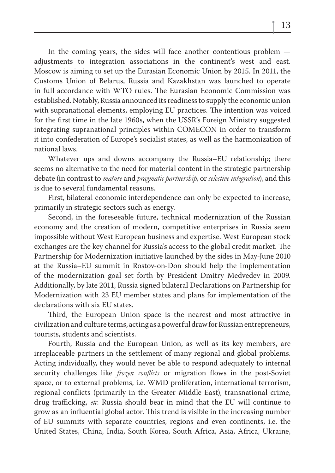In the coming years, the sides will face another contentious problem adjustments to integration associations in the continent's west and east. Moscow is aiming to set up the Eurasian Economic Union by 2015. In 2011, the Customs Union of Belarus, Russia and Kazakhstan was launched to operate in full accordance with WTO rules. The Eurasian Economic Commission was established. Notably, Russia announced its readiness to supply the economic union with supranational elements, employing EU practices. The intention was voiced for the first time in the late 1960s, when the USSR's Foreign Ministry suggested integrating supranational principles within COMECON in order to transform it into confederation of Europe's socialist states, as well as the harmonization of national laws.

Whatever ups and downs accompany the Russia–EU relationship; there seems no alternative to the need for material content in the strategic partnership debate (in contrast to *mature* and *pragmatic partnership*, or *selective integration*), and this is due to several fundamental reasons.

First, bilateral economic interdependence can only be expected to increase, primarily in strategic sectors such as energy.

Second, in the foreseeable future, technical modernization of the Russian economy and the creation of modern, competitive enterprises in Russia seem impossible without West European business and expertise. West European stock exchanges are the key channel for Russia's access to the global credit market. The Partnership for Modernization initiative launched by the sides in May-June 2010 at the Russia–EU summit in Rostov-on-Don should help the implementation of the modernization goal set forth by President Dmitry Medvedev in 2009. Additionally, by late 2011, Russia signed bilateral Declarations on Partnership for Modernization with 23 EU member states and plans for implementation of the declarations with six EU states.

Third, the European Union space is the nearest and most attractive in civilization and culture terms, acting as a powerful draw for Russian entrepreneurs, tourists, students and scientists.

Fourth, Russia and the European Union, as well as its key members, are irreplaceable partners in the settlement of many regional and global problems. Acting individually, they would never be able to respond adequately to internal security challenges like *frozen conflicts* or migration flows in the post-Soviet space, or to external problems, i.e. WMD proliferation, international terrorism, regional conflicts (primarily in the Greater Middle East), transnational crime, drug trafficking, *etc*. Russia should bear in mind that the EU will continue to grow as an influential global actor. This trend is visible in the increasing number of EU summits with separate countries, regions and even continents, i.e. the United States, China, India, South Korea, South Africa, Asia, Africa, Ukraine,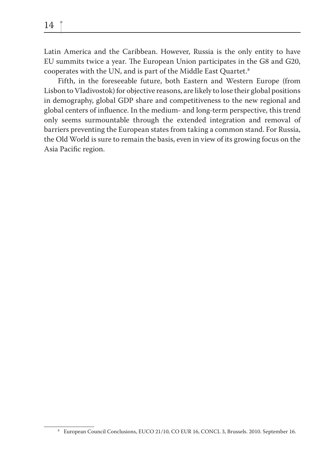Latin America and the Caribbean. However, Russia is the only entity to have EU summits twice a year. The European Union participates in the G8 and G20, cooperates with the UN, and is part of the Middle East Quartet.8

Fifth, in the foreseeable future, both Eastern and Western Europe (from Lisbon to Vladivostok) for objective reasons, are likely to lose their global positions in demography, global GDP share and competitiveness to the new regional and global centers of influence. In the medium- and long-term perspective, this trend only seems surmountable through the extended integration and removal of barriers preventing the European states from taking a common stand. For Russia, the Old World is sure to remain the basis, even in view of its growing focus on the Asia Pacific region.

<sup>8</sup> European Council Conclusions, EUCO 21/10, CO EUR 16, CONCL 3, Brussels. 2010. September 16.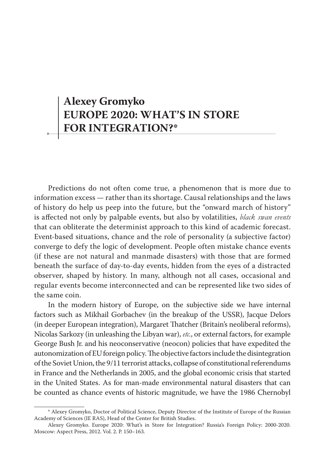## **Alexey Gromyko EUROPE 2020: WHAT'S IN STORE FOR INTEGRATION?\***

Predictions do not often come true, a phenomenon that is more due to information excess — rather than its shortage. Causal relationships and the laws of history do help us peep into the future, but the "onward march of history" is affected not only by palpable events, but also by volatilities, *black swan events* that can obliterate the determinist approach to this kind of academic forecast. Event-based situations, chance and the role of personality (a subjective factor) converge to defy the logic of development. People often mistake chance events (if these are not natural and manmade disasters) with those that are formed beneath the surface of day-to-day events, hidden from the eyes of a distracted observer, shaped by history. In many, although not all cases, occasional and regular events become interconnected and can be represented like two sides of the same coin.

In the modern history of Europe, on the subjective side we have internal factors such as Mikhail Gorbachev (in the breakup of the USSR), Jacque Delors (in deeper European integration), Margaret Thatcher (Britain's neoliberal reforms), Nicolas Sarkozy (in unleashing the Libyan war), *etc.*, or external factors, for example George Bush Jr. and his neoconservative (neocon) policies that have expedited the autonomization of EU foreign policy. The objective factors include the disintegration of the Soviet Union, the 9/11 terrorist attacks, collapse of constitutional referendums in France and the Netherlands in 2005, and the global economic crisis that started in the United States. As for man-made environmental natural disasters that can be counted as chance events of historic magnitude, we have the 1986 Chernobyl

<sup>\*</sup> Alexey Gromyko, Doctor of Political Science, Deputy Director of the Institute of Europe of the Russian Academy of Sciences (IE RAS), Head of the Center for British Studies.

Alexey Gromyko. Europe 2020: What's in Store for Integration? Russia's Foreign Policy: 2000-2020. Moscow: Aspect Press, 2012. Vol. 2. P. 150–163.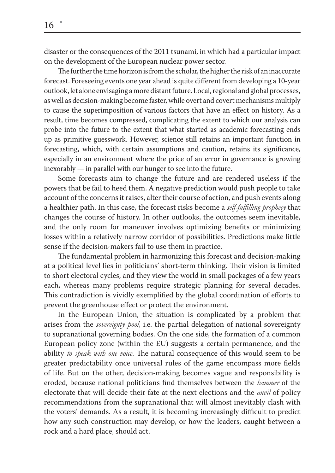The further the time horizon is from the scholar, the higher the risk of an inaccurate forecast. Foreseeing events one year ahead is quite different from developing a 10-year outlook, let alone envisaging a more distant future. Local, regional and global processes, as well as decision-making become faster, while overt and covert mechanisms multiply to cause the superimposition of various factors that have an effect on history. As a result, time becomes compressed, complicating the extent to which our analysis can probe into the future to the extent that what started as academic forecasting ends up as primitive guesswork. However, science still retains an important function in forecasting, which, with certain assumptions and caution, retains its significance, especially in an environment where the price of an error in governance is growing inexorably — in parallel with our hunger to see into the future.

Some forecasts aim to change the future and are rendered useless if the powers that be fail to heed them. A negative prediction would push people to take account of the concerns it raises, alter their course of action, and push events along a healthier path. In this case, the forecast risks become a *self-fulfilling prophecy* that changes the course of history. In other outlooks, the outcomes seem inevitable, and the only room for maneuver involves optimizing benefits or minimizing losses within a relatively narrow corridor of possibilities. Predictions make little sense if the decision-makers fail to use them in practice.

The fundamental problem in harmonizing this forecast and decision-making at a political level lies in politicians' short-term thinking. Their vision is limited to short electoral cycles, and they view the world in small packages of a few years each, whereas many problems require strategic planning for several decades. This contradiction is vividly exemplified by the global coordination of efforts to prevent the greenhouse effect or protect the environment.

In the European Union, the situation is complicated by a problem that arises from the *sovereignty pool*, i.e. the partial delegation of national sovereignty to supranational governing bodies. On the one side, the formation of a common European policy zone (within the EU) suggests a certain permanence, and the ability *to speak with one voice*. The natural consequence of this would seem to be greater predictability once universal rules of the game encompass more fields of life. But on the other, decision-making becomes vague and responsibility is eroded, because national politicians find themselves between the *hammer* of the electorate that will decide their fate at the next elections and the *anvil* of policy recommendations from the supranational that will almost inevitably clash with the voters' demands. As a result, it is becoming increasingly difficult to predict how any such construction may develop, or how the leaders, caught between a rock and a hard place, should act.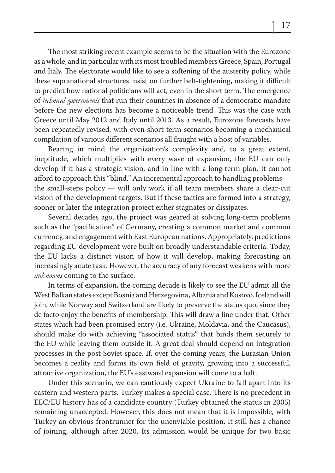The most striking recent example seems to be the situation with the Eurozone as a whole, and in particular with its most troubled members Greece, Spain, Portugal and Italy, The electorate would like to see a softening of the austerity policy, while these supranational structures insist on further belt-tightening, making it difficult to predict how national politicians will act, even in the short term. The emergence of *technical governments* that run their countries in absence of a democratic mandate before the new elections has become a noticeable trend. This was the case with Greece until May 2012 and Italy until 2013. As a result, Eurozone forecasts have been repeatedly revised, with even short-term scenarios becoming a mechanical compilation of various different scenarios all fraught with a host of variables.

Bearing in mind the organization's complexity and, to a great extent, ineptitude, which multiplies with every wave of expansion, the EU can only develop if it has a strategic vision, and in line with a long-term plan. It cannot afford to approach this "blind." An incremental approach to handling problems the small-steps policy — will only work if all team members share a clear-cut vision of the development targets. But if these tactics are formed into a strategy, sooner or later the integration project either stagnates or dissipates.

Several decades ago, the project was geared at solving long-term problems such as the "pacification" of Germany, creating a common market and common currency, and engagement with East European nations. Appropriately, predictions regarding EU development were built on broadly understandable criteria. Today, the EU lacks a distinct vision of how it will develop, making forecasting an increasingly acute task. However, the accuracy of any forecast weakens with more *unknowns* coming to the surface.

In terms of expansion, the coming decade is likely to see the EU admit all the West Balkan states except Bosnia and Herzegovina, Albania and Kosovo. Iceland will join, while Norway and Switzerland are likely to preserve the status quo, since they de facto enjoy the benefits of membership. This will draw a line under that. Other states which had been promised entry (i.e. Ukraine, Moldavia, and the Caucasus), should make do with achieving "associated status" that binds them securely to the EU while leaving them outside it. A great deal should depend on integration processes in the post-Soviet space. If, over the coming years, the Eurasian Union becomes a reality and forms its own field of gravity, growing into a successful, attractive organization, the EU's eastward expansion will come to a halt.

Under this scenario, we can cautiously expect Ukraine to fall apart into its eastern and western parts. Turkey makes a special case. There is no precedent in EEC/EU history has of a candidate country (Turkey obtained the status in 2005) remaining unaccepted. However, this does not mean that it is impossible, with Turkey an obvious frontrunner for the unenviable position. It still has a chance of joining, although after 2020. Its admission would be unique for two basic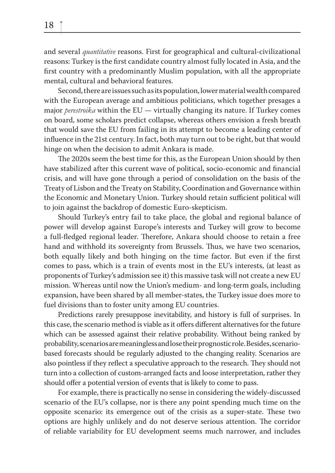and several *quantitative* reasons. First for geographical and cultural-civilizational reasons: Turkey is the first candidate country almost fully located in Asia, and the first country with a predominantly Muslim population, with all the appropriate mental, cultural and behavioral features.

Second, there are issues such as its population, lower material wealth compared with the European average and ambitious politicians, which together presages a major *perestroika* within the EU — virtually changing its nature. If Turkey comes on board, some scholars predict collapse, whereas others envision a fresh breath that would save the EU from failing in its attempt to become a leading center of influence in the 21st century. In fact, both may turn out to be right, but that would hinge on when the decision to admit Ankara is made.

The 2020s seem the best time for this, as the European Union should by then have stabilized after this current wave of political, socio-economic and financial crisis, and will have gone through a period of consolidation on the basis of the Treaty of Lisbon and the Treaty on Stability, Coordination and Governance within the Economic and Monetary Union. Turkey should retain sufficient political will to join against the backdrop of domestic Euro-skepticism.

Should Turkey's entry fail to take place, the global and regional balance of power will develop against Europe's interests and Turkey will grow to become a full-fledged regional leader. Therefore, Ankara should choose to retain a free hand and withhold its sovereignty from Brussels. Thus, we have two scenarios, both equally likely and both hinging on the time factor. But even if the first comes to pass, which is a train of events most in the EU's interests, (at least as proponents of Turkey's admission see it) this massive task will not create a new EU mission. Whereas until now the Union's medium- and long-term goals, including expansion, have been shared by all member-states, the Turkey issue does more to fuel divisions than to foster unity among EU countries.

Predictions rarely presuppose inevitability, and history is full of surprises. In this case, the scenario method is viable as it offers different alternatives for the future which can be assessed against their relative probability. Without being ranked by probability, scenarios are meaningless and lose their prognostic role. Besides, scenariobased forecasts should be regularly adjusted to the changing reality. Scenarios are also pointless if they reflect a speculative approach to the research. They should not turn into a collection of custom-arranged facts and loose interpretation, rather they should offer a potential version of events that is likely to come to pass.

For example, there is practically no sense in considering the widely-discussed scenario of the EU's collapse, nor is there any point spending much time on the opposite scenario: its emergence out of the crisis as a super-state. These two options are highly unlikely and do not deserve serious attention. The corridor of reliable variability for EU development seems much narrower, and includes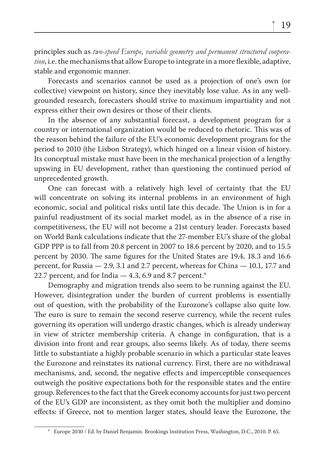principles such as *two-speed Europe, variable geometry and permanent structured cooperation*, i.e. the mechanisms that allow Europe to integrate in a more flexible, adaptive, stable and ergonomic manner.

Forecasts and scenarios cannot be used as a projection of one's own (or collective) viewpoint on history, since they inevitably lose value. As in any wellgrounded research, forecasters should strive to maximum impartiality and not express either their own desires or those of their clients.

In the absence of any substantial forecast, a development program for a country or international organization would be reduced to rhetoric. This was of the reason behind the failure of the EU's economic development program for the period to 2010 (the Lisbon Strategy), which hinged on a linear vision of history. Its conceptual mistake must have been in the mechanical projection of a lengthy upswing in EU development, rather than questioning the continued period of unprecedented growth.

One can forecast with a relatively high level of certainty that the EU will concentrate on solving its internal problems in an environment of high economic, social and political risks until late this decade. The Union is in for a painful readjustment of its social market model, as in the absence of a rise in competitiveness, the EU will not become a 21st century leader. Forecasts based on World Bank calculations indicate that the 27-member EU's share of the global GDP PPP is to fall from 20.8 percent in 2007 to 18.6 percent by 2020, and to 15.5 percent by 2030. The same figures for the United States are 19.4, 18.3 and 16.6 percent, for Russia — 2.9, 3.1 and 2.7 percent, whereas for China — 10.1, 17.7 and 22.7 percent, and for India  $-4.3$ , 6.9 and 8.7 percent.<sup>9</sup>

Demography and migration trends also seem to be running against the EU. However, disintegration under the burden of current problems is essentially out of question, with the probability of the Eurozone's collapse also quite low. The euro is sure to remain the second reserve currency, while the recent rules governing its operation will undergo drastic changes, which is already underway in view of stricter membership criteria. A change in configuration, that is a division into front and rear groups, also seems likely. As of today, there seems little to substantiate a highly probable scenario in which a particular state leaves the Eurozone and reinstates its national currency. First, there are no withdrawal mechanisms, and, second, the negative effects and imperceptible consequences outweigh the positive expectations both for the responsible states and the entire group. References to the fact that the Greek economy accounts for just two percent of the EU's GDP are inconsistent, as they omit both the multiplier and domino effects: if Greece, not to mention larger states, should leave the Eurozone, the

<sup>9</sup> Europe 2030 / Ed. by Daniel Benjamin. Brookings Institution Press, Washington, D.C., 2010. P. 65.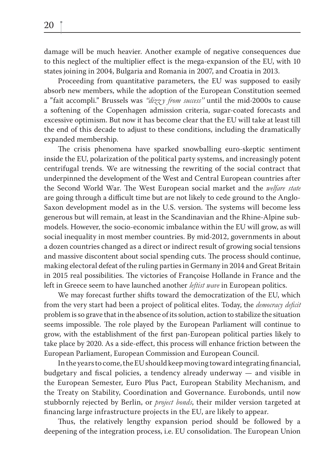damage will be much heavier. Another example of negative consequences due to this neglect of the multiplier effect is the mega-expansion of the EU, with 10 states joining in 2004, Bulgaria and Romania in 2007, and Croatia in 2013.

Proceeding from quantitative parameters, the EU was supposed to easily absorb new members, while the adoption of the European Constitution seemed a "fait accompli." Brussels was *"dizz y from success"* until the mid-2000s to cause a softening of the Copenhagen admission criteria, sugar-coated forecasts and excessive optimism. But now it has become clear that the EU will take at least till the end of this decade to adjust to these conditions, including the dramatically expanded membership.

The crisis phenomena have sparked snowballing euro-skeptic sentiment inside the EU, polarization of the political party systems, and increasingly potent centrifugal trends. We are witnessing the rewriting of the social contract that underpinned the development of the West and Central European countries after the Second World War. The West European social market and the *welfare state* are going through a difficult time but are not likely to cede ground to the Anglo-Saxon development model as in the U.S. version. The systems will become less generous but will remain, at least in the Scandinavian and the Rhine-Alpine submodels. However, the socio-economic imbalance within the EU will grow, as will social inequality in most member countries. By mid-2012, governments in about a dozen countries changed as a direct or indirect result of growing social tensions and massive discontent about social spending cuts. The process should continue, making electoral defeat of the ruling parties in Germany in 2014 and Great Britain in 2015 real possibilities. The victories of Françoise Hollande in France and the left in Greece seem to have launched another *leftist wave* in European politics.

We may forecast further shifts toward the democratization of the EU, which from the very start had been a project of political elites. Today, the *democracy deficit* problem is so grave that in the absence of its solution, action to stabilize the situation seems impossible. The role played by the European Parliament will continue to grow, with the establishment of the first pan-European political parties likely to take place by 2020. As a side-effect, this process will enhance friction between the European Parliament, European Commission and European Council.

In the years to come, the EU should keep moving toward integrating financial, budgetary and fiscal policies, a tendency already underway  $-$  and visible in the European Semester, Euro Plus Pact, European Stability Mechanism, and the Treaty on Stability, Coordination and Governance. Eurobonds, until now stubbornly rejected by Berlin, or *project bonds*, their milder version targeted at financing large infrastructure projects in the EU, are likely to appear.

Thus, the relatively lengthy expansion period should be followed by a deepening of the integration process, i.e. EU consolidation. The European Union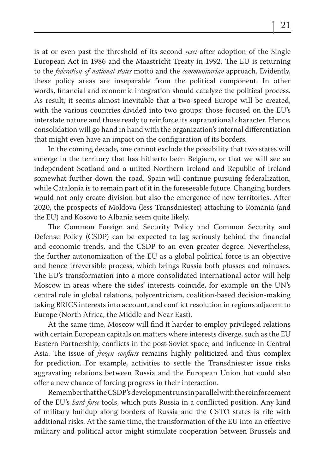is at or even past the threshold of its second *reset* after adoption of the Single European Act in 1986 and the Maastricht Treaty in 1992. The EU is returning to the *federation of national states* motto and the *communitarian* approach. Evidently, these policy areas are inseparable from the political component. In other words, financial and economic integration should catalyze the political process. As result, it seems almost inevitable that a two-speed Europe will be created, with the various countries divided into two groups: those focused on the EU's interstate nature and those ready to reinforce its supranational character. Hence, consolidation will go hand in hand with the organization's internal differentiation that might even have an impact on the configuration of its borders.

In the coming decade, one cannot exclude the possibility that two states will emerge in the territory that has hitherto been Belgium, or that we will see an independent Scotland and a united Northern Ireland and Republic of Ireland somewhat further down the road. Spain will continue pursuing federalization, while Catalonia is to remain part of it in the foreseeable future. Changing borders would not only create division but also the emergence of new territories. After 2020, the prospects of Moldova (less Transdniester) attaching to Romania (and the EU) and Kosovo to Albania seem quite likely.

The Common Foreign and Security Policy and Common Security and Defense Policy (CSDP) can be expected to lag seriously behind the financial and economic trends, and the CSDP to an even greater degree. Nevertheless, the further autonomization of the EU as a global political force is an objective and hence irreversible process, which brings Russia both plusses and minuses. The EU's transformation into a more consolidated international actor will help Moscow in areas where the sides' interests coincide, for example on the UN's central role in global relations, polycentricism, coalition-based decision-making taking BRICS interests into account, and conflict resolution in regions adjacent to Europe (North Africa, the Middle and Near East).

At the same time, Moscow will find it harder to employ privileged relations with certain European capitals on matters where interests diverge, such as the EU Eastern Partnership, conflicts in the post-Soviet space, and influence in Central Asia. The issue of *frozen conflicts* remains highly politicized and thus complex for prediction. For example, activities to settle the Transdniester issue risks aggravating relations between Russia and the European Union but could also offer a new chance of forcing progress in their interaction.

Remember that the CSDP's development runs in parallel with the reinforcement of the EU's *hard force* tools, which puts Russia in a conflicted position. Any kind of military buildup along borders of Russia and the CSTO states is rife with additional risks. At the same time, the transformation of the EU into an effective military and political actor might stimulate cooperation between Brussels and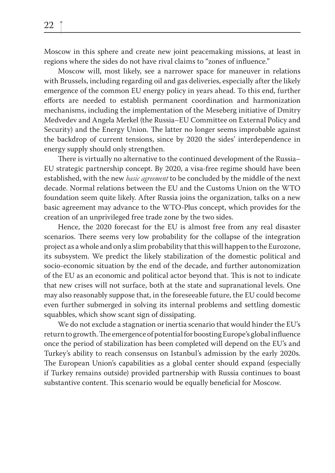Moscow in this sphere and create new joint peacemaking missions, at least in regions where the sides do not have rival claims to "zones of influence."

Moscow will, most likely, see a narrower space for maneuver in relations with Brussels, including regarding oil and gas deliveries, especially after the likely emergence of the common EU energy policy in years ahead. To this end, further efforts are needed to establish permanent coordination and harmonization mechanisms, including the implementation of the Meseberg initiative of Dmitry Medvedev and Angela Merkel (the Russia–EU Committee on External Policy and Security) and the Energy Union. The latter no longer seems improbable against the backdrop of current tensions, since by 2020 the sides' interdependence in energy supply should only strengthen.

There is virtually no alternative to the continued development of the Russia– EU strategic partnership concept. By 2020, a visa-free regime should have been established, with the new *basic agreement* to be concluded by the middle of the next decade. Normal relations between the EU and the Customs Union on the WTO foundation seem quite likely. After Russia joins the organization, talks on a new basic agreement may advance to the WTO-Plus concept, which provides for the creation of an unprivileged free trade zone by the two sides.

Hence, the 2020 forecast for the EU is almost free from any real disaster scenarios. There seems very low probability for the collapse of the integration project as a whole and only a slim probability that this will happen to the Eurozone, its subsystem. We predict the likely stabilization of the domestic political and socio-economic situation by the end of the decade, and further autonomization of the EU as an economic and political actor beyond that. This is not to indicate that new crises will not surface, both at the state and supranational levels. One may also reasonably suppose that, in the foreseeable future, the EU could become even further submerged in solving its internal problems and settling domestic squabbles, which show scant sign of dissipating.

We do not exclude a stagnation or inertia scenario that would hinder the EU's return to growth. The emergence of potential for boosting Europe's global influence once the period of stabilization has been completed will depend on the EU's and Turkey's ability to reach consensus on Istanbul's admission by the early 2020s. The European Union's capabilities as a global center should expand (especially if Turkey remains outside) provided partnership with Russia continues to boast substantive content. This scenario would be equally beneficial for Moscow.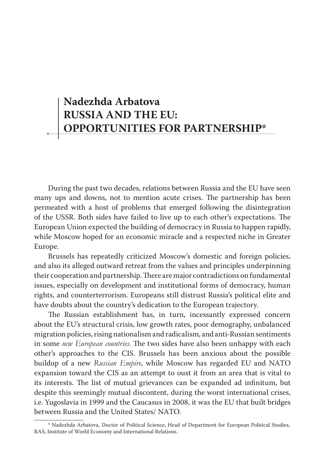## **Nadezhda Arbatova RUSSIA AND THE EU: OPPORTUNITIES FOR PARTNERSHIP\***

During the past two decades, relations between Russia and the EU have seen many ups and downs, not to mention acute crises. The partnership has been permeated with a host of problems that emerged following the disintegration of the USSR. Both sides have failed to live up to each other's expectations. The European Union expected the building of democracy in Russia to happen rapidly, while Moscow hoped for an economic miracle and a respected niche in Greater Europe.

Brussels has repeatedly criticized Moscow's domestic and foreign policies, and also its alleged outward retreat from the values and principles underpinning their cooperation and partnership. There are major contradictions on fundamental issues, especially on development and institutional forms of democracy, human rights, and counterterrorism. Europeans still distrust Russia's political elite and have doubts about the country's dedication to the European trajectory.

The Russian establishment has, in turn, incessantly expressed concern about the EU's structural crisis, low growth rates, poor demography, unbalanced migration policies, rising nationalism and radicalism, and anti-Russian sentiments in some *new European countries*. The two sides have also been unhappy with each other's approaches to the CIS. Brussels has been anxious about the possible buildup of a new *Russian Empire*, while Moscow has regarded EU and NATO expansion toward the CIS as an attempt to oust it from an area that is vital to its interests. The list of mutual grievances can be expanded ad infinitum, but despite this seemingly mutual discontent, during the worst international crises, i.e. Yugoslavia in 1999 and the Caucasus in 2008, it was the EU that built bridges between Russia and the United States/ NATO.

<sup>\*</sup> Nadezhda Arbatova, Doctor of Political Science, Head of Department for European Political Studies, RAS, Institute of World Economy and International Relations.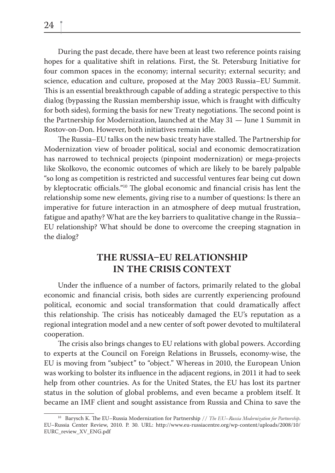During the past decade, there have been at least two reference points raising hopes for a qualitative shift in relations. First, the St. Petersburg Initiative for four common spaces in the economy; internal security; external security; and science, education and culture, proposed at the May 2003 Russia–EU Summit. This is an essential breakthrough capable of adding a strategic perspective to this dialog (bypassing the Russian membership issue, which is fraught with difficulty for both sides), forming the basis for new Treaty negotiations. The second point is the Partnership for Modernization, launched at the May 31 — June 1 Summit in Rostov-on-Don. However, both initiatives remain idle.

The Russia–EU talks on the new basic treaty have stalled. The Partnership for Modernization view of broader political, social and economic democratization has narrowed to technical projects (pinpoint modernization) or mega-projects like Skolkovo, the economic outcomes of which are likely to be barely palpable "so long as competition is restricted and successful ventures fear being cut down by kleptocratic officials."<sup>10</sup> The global economic and financial crisis has lent the relationship some new elements, giving rise to a number of questions: Is there an imperative for future interaction in an atmosphere of deep mutual frustration, fatigue and apathy? What are the key barriers to qualitative change in the Russia– EU relationship? What should be done to overcome the creeping stagnation in the dialog?

#### **THE RUSSIA-EU RELATIONSHIP IN THE CRISIS CONTEXT**

Under the influence of a number of factors, primarily related to the global economic and financial crisis, both sides are currently experiencing profound political, economic and social transformation that could dramatically affect this relationship. The crisis has noticeably damaged the EU's reputation as a regional integration model and a new center of soft power devoted to multilateral cooperation.

The crisis also brings changes to EU relations with global powers. According to experts at the Council on Foreign Relations in Brussels, economy-wise, the EU is moving from "subject" to "object." Whereas in 2010, the European Union was working to bolster its influence in the adjacent regions, in 2011 it had to seek help from other countries. As for the United States, the EU has lost its partner status in the solution of global problems, and even became a problem itself. It became an IMF client and sought assistance from Russia and China to save the

<sup>&</sup>lt;sup>10</sup> Barysch K. The EU–Russia Modernization for Partnership // The EU–*Russia Modernization for Partnership*. EU–Russia Center Review, 2010. P. 30. URL: http://www.eu-russiacentre.org/wp-content/uploads/2008/10/ EURC\_review\_XV\_ENG.pdf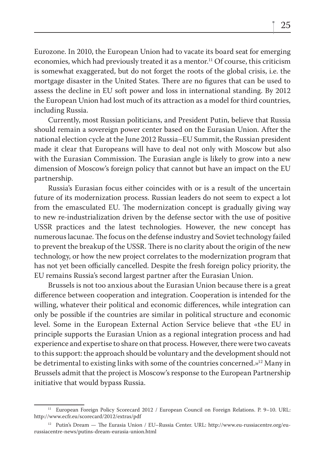Eurozone. In 2010, the European Union had to vacate its board seat for emerging economies, which had previously treated it as a mentor.<sup>11</sup> Of course, this criticism is somewhat exaggerated, but do not forget the roots of the global crisis, i.e. the mortgage disaster in the United States. There are no figures that can be used to assess the decline in EU soft power and loss in international standing. By 2012 the European Union had lost much of its attraction as a model for third countries, including Russia.

Currently, most Russian politicians, and President Putin, believe that Russia should remain a sovereign power center based on the Eurasian Union. After the national election cycle at the June 2012 Russia–EU Summit, the Russian president made it clear that Europeans will have to deal not only with Moscow but also with the Eurasian Commission. The Eurasian angle is likely to grow into a new dimension of Moscow's foreign policy that cannot but have an impact on the EU partnership.

Russia's Eurasian focus either coincides with or is a result of the uncertain future of its modernization process. Russian leaders do not seem to expect a lot from the emasculated EU. The modernization concept is gradually giving way to new re-industrialization driven by the defense sector with the use of positive USSR practices and the latest technologies. However, the new concept has numerous lacunae. The focus on the defense industry and Soviet technology failed to prevent the breakup of the USSR. There is no clarity about the origin of the new technology, or how the new project correlates to the modernization program that has not yet been officially cancelled. Despite the fresh foreign policy priority, the EU remains Russia's second largest partner after the Eurasian Union.

Brussels is not too anxious about the Eurasian Union because there is a great difference between cooperation and integration. Cooperation is intended for the willing, whatever their political and economic differences, while integration can only be possible if the countries are similar in political structure and economic level. Some in the European External Action Service believe that «the EU in principle supports the Eurasian Union as a regional integration process and had experience and expertise to share on that process. However, there were two caveats to this support: the approach should be voluntary and the development should not be detrimental to existing links with some of the countries concerned.»12 Many in Brussels admit that the project is Moscow's response to the European Partnership initiative that would bypass Russia.

<sup>&</sup>lt;sup>11</sup> European Foreign Policy Scorecard 2012 / European Council on Foreign Relations. P. 9-10. URL: http://www.ecfr.eu/scorecard/2012/extras/pdf

<sup>&</sup>lt;sup>12</sup> Putin's Dream — The Eurasia Union / EU–Russia Center. URL: http://www.eu-russiacentre.org/eurussiacentre-news/putins-dream-eurasia-union.html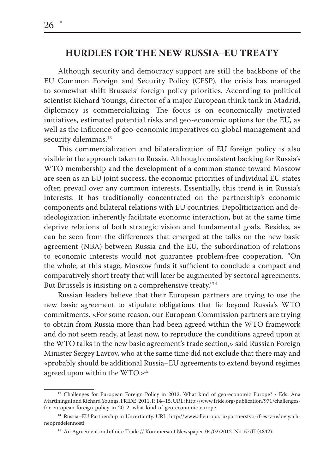#### **HURDLES FOR THE NEW RUSSIA-EU TREATY**

Although security and democracy support are still the backbone of the EU Common Foreign and Security Policy (CFSP), the crisis has managed to somewhat shift Brussels' foreign policy priorities. According to political scientist Richard Youngs, director of a major European think tank in Madrid, diplomacy is commercializing. The focus is on economically motivated initiatives, estimated potential risks and geo-economic options for the EU, as well as the influence of geo-economic imperatives on global management and security dilemmas.<sup>13</sup>

This commercialization and bilateralization of EU foreign policy is also visible in the approach taken to Russia. Although consistent backing for Russia's WTO membership and the development of a common stance toward Moscow are seen as an EU joint success, the economic priorities of individual EU states often prevail over any common interests. Essentially, this trend is in Russia's interests. It has traditionally concentrated on the partnership's economic components and bilateral relations with EU countries. Depoliticization and deideologization inherently facilitate economic interaction, but at the same time deprive relations of both strategic vision and fundamental goals. Besides, as can be seen from the differences that emerged at the talks on the new basic agreement (NBA) between Russia and the EU, the subordination of relations to economic interests would not guarantee problem-free cooperation. "On the whole, at this stage, Moscow finds it sufficient to conclude a compact and comparatively short treaty that will later be augmented by sectoral agreements. But Brussels is insisting on a comprehensive treaty."14

Russian leaders believe that their European partners are trying to use the new basic agreement to stipulate obligations that lie beyond Russia's WTO commitments. «For some reason, our European Commission partners are trying to obtain from Russia more than had been agreed within the WTO framework and do not seem ready, at least now, to reproduce the conditions agreed upon at the WTO talks in the new basic agreement's trade section,» said Russian Foreign Minister Sergey Lavrov, who at the same time did not exclude that there may and «probably should be additional Russia–EU agreements to extend beyond regimes agreed upon within the WTO.»15

<sup>&</sup>lt;sup>13</sup> Challenges for European Foreign Policy in 2012, What kind of geo-economic Europe? / Eds. Ana Martiningui and Richard Youngs. FRIDE, 2011. P. 14–15. URL: http://www.fride.org/publication/971/challengesfor-european-foreign-policy-in-2012.-what-kind-of-geo-economic-europe

<sup>14</sup> Russia–EU Partnership in Uncertainty. URL: http://www.alleuropa.ru/partnerstvo-rf-es-v-usloviyachneopredelennosti

<sup>&</sup>lt;sup>15</sup> An Agreement on Infinite Trade // Kommersant Newspaper. 04/02/2012. No. 57/ $\Pi$  (4842).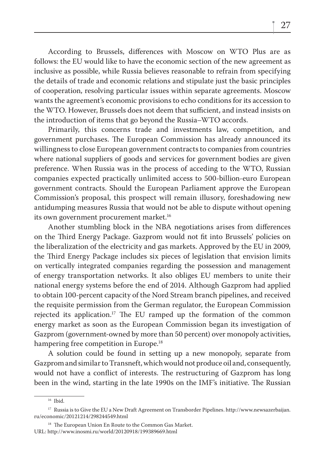According to Brussels, differences with Moscow on WTO Plus are as follows: the EU would like to have the economic section of the new agreement as inclusive as possible, while Russia believes reasonable to refrain from specifying the details of trade and economic relations and stipulate just the basic principles of cooperation, resolving particular issues within separate agreements. Moscow wants the agreement's economic provisions to echo conditions for its accession to the WTO. However, Brussels does not deem that sufficient, and instead insists on the introduction of items that go beyond the Russia–WTO accords.

Primarily, this concerns trade and investments law, competition, and government purchases. The European Commission has already announced its willingness to close European government contracts to companies from countries where national suppliers of goods and services for government bodies are given preference. When Russia was in the process of acceding to the WTO, Russian companies expected practically unlimited access to 500-billion-euro European government contracts. Should the European Parliament approve the European Commission's proposal, this prospect will remain illusory, foreshadowing new antidumping measures Russia that would not be able to dispute without opening its own government procurement market.16

Another stumbling block in the NBA negotiations arises from differences on the Third Energy Package. Gazprom would not fit into Brussels' policies on the liberalization of the electricity and gas markets. Approved by the EU in 2009, the Third Energy Package includes six pieces of legislation that envision limits on vertically integrated companies regarding the possession and management of energy transportation networks. It also obliges EU members to unite their national energy systems before the end of 2014. Although Gazprom had applied to obtain 100-percent capacity of the Nord Stream branch pipelines, and received the requisite permission from the German regulator, the European Commission rejected its application.<sup>17</sup> The EU ramped up the formation of the common energy market as soon as the European Commission began its investigation of Gazprom (government-owned by more than 50 percent) over monopoly activities, hampering free competition in Europe.<sup>18</sup>

A solution could be found in setting up a new monopoly, separate from Gazprom and similar to Transneft, which would not produce oil and, consequently, would not have a conflict of interests. The restructuring of Gazprom has long been in the wind, starting in the late 1990s on the IMF's initiative. The Russian

<sup>&</sup>lt;sup>16</sup> Ibid.

<sup>&</sup>lt;sup>17</sup> Russia is to Give the EU a New Draft Agreement on Transborder Pipelines. http://www.newsazerbaijan. ru/economic/20121214/298244549.html

<sup>&</sup>lt;sup>18</sup> The European Union En Route to the Common Gas Market. URL: http://www.inosmi.ru/world/20120918/199389669.html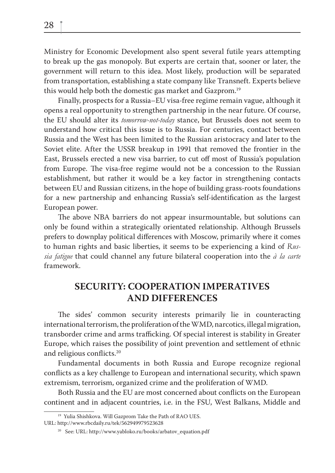Ministry for Economic Development also spent several futile years attempting to break up the gas monopoly. But experts are certain that, sooner or later, the government will return to this idea. Most likely, production will be separated from transportation, establishing a state company like Transneft. Experts believe this would help both the domestic gas market and Gazprom.19

Finally, prospects for a Russia–EU visa-free regime remain vague, although it opens a real opportunity to strengthen partnership in the near future. Of course, the EU should alter its *tomorrow-not-today* stance, but Brussels does not seem to understand how critical this issue is to Russia. For centuries, contact between Russia and the West has been limited to the Russian aristocracy and later to the Soviet elite. After the USSR breakup in 1991 that removed the frontier in the East, Brussels erected a new visa barrier, to cut off most of Russia's population from Europe. The visa-free regime would not be a concession to the Russian establishment, but rather it would be a key factor in strengthening contacts between EU and Russian citizens, in the hope of building grass-roots foundations for a new partnership and enhancing Russia's self-identification as the largest European power.

The above NBA barriers do not appear insurmountable, but solutions can only be found within a strategically orientated relationship. Although Brussels prefers to downplay political differences with Moscow, primarily where it comes to human rights and basic liberties, it seems to be experiencing a kind of *Russia fatigue* that could channel any future bilateral cooperation into the *à la carte*  framework.

### **SECURITY: COOPERATION IMPERATIVES AND DIFFERENCES**

The sides' common security interests primarily lie in counteracting international terrorism, the proliferation of the WMD, narcotics, illegal migration, transborder crime and arms trafficking. Of special interest is stability in Greater Europe, which raises the possibility of joint prevention and settlement of ethnic and religious conflicts.<sup>20</sup>

Fundamental documents in both Russia and Europe recognize regional conflicts as a key challenge to European and international security, which spawn extremism, terrorism, organized crime and the proliferation of WMD.

Both Russia and the EU are most concerned about conflicts on the European continent and in adjacent countries, i.e. in the FSU, West Balkans, Middle and

<sup>&</sup>lt;sup>19</sup> Yulia Shishkova. Will Gazprom Take the Path of RAO UES.

URL: http://www.rbcdaily.ru/tek/562949979523628

<sup>20</sup> See: URL: http://www.yabloko.ru/books/arbatov\_equation.pdf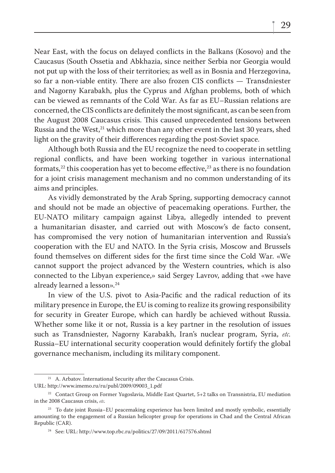Near East, with the focus on delayed conflicts in the Balkans (Kosovo) and the Caucasus (South Ossetia and Abkhazia, since neither Serbia nor Georgia would not put up with the loss of their territories; as well as in Bosnia and Herzegovina, so far a non-viable entity. There are also frozen CIS conflicts  $-$  Transdniester and Nagorny Karabakh, plus the Cyprus and Afghan problems, both of which can be viewed as remnants of the Cold War. As far as EU–Russian relations are concerned, the CIS conflicts are definitely the most significant, as can be seen from the August 2008 Caucasus crisis. This caused unprecedented tensions between Russia and the West,<sup>21</sup> which more than any other event in the last 30 years, shed light on the gravity of their differences regarding the post-Soviet space.

Although both Russia and the EU recognize the need to cooperate in settling regional conflicts, and have been working together in various international formats,<sup>22</sup> this cooperation has yet to become effective,<sup>23</sup> as there is no foundation for a joint crisis management mechanism and no common understanding of its aims and principles.

As vividly demonstrated by the Arab Spring, supporting democracy cannot and should not be made an objective of peacemaking operations. Further, the EU-NATO military campaign against Libya, allegedly intended to prevent a humanitarian disaster, and carried out with Moscow's de facto consent, has compromised the very notion of humanitarian intervention and Russia's cooperation with the EU and NATO. In the Syria crisis, Moscow and Brussels found themselves on different sides for the first time since the Cold War. «We cannot support the project advanced by the Western countries, which is also connected to the Libyan experience,» said Sergey Lavrov, adding that «we have already learned a lesson».<sup>24</sup>

In view of the U.S. pivot to Asia-Pacific and the radical reduction of its military presence in Europe, the EU is coming to realize its growing responsibility for security in Greater Europe, which can hardly be achieved without Russia. Whether some like it or not, Russia is a key partner in the resolution of issues such as Transdniester, Nagorny Karabakh, Iran's nuclear program, Syria, *etc.* Russia–EU international security cooperation would definitely fortify the global governance mechanism, including its military component.

<sup>&</sup>lt;sup>21</sup> A. Arbatov. International Security after the Caucasus Crisis.

URL: http://www.imemo.ru/ru/publ/2009/09003\_1.pdf

<sup>&</sup>lt;sup>22</sup> Contact Group on Former Yugoslavia, Middle East Quartet,  $5+2$  talks on Transnistria, EU mediation in the 2008 Caucasus crisis, *etc*.

<sup>&</sup>lt;sup>23</sup> To date joint Russia–EU peacemaking experience has been limited and mostly symbolic, essentially amounting to the engagement of a Russian helicopter group for operations in Chad and the Central African Republic (CAR).

<sup>24</sup> See: URL: http://www.top.rbc.ru/politics/27/09/2011/617576.shtml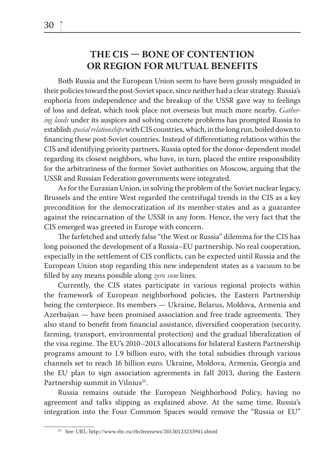#### THE CIS – BONE OF CONTENTION **OR REGION FOR MUTUAL BENEFITS**

Both Russia and the European Union seem to have been grossly misguided in their policies toward the post-Soviet space, since neither had a clear strategy. Russia's euphoria from independence and the breakup of the USSR gave way to feelings of loss and defeat, which took place not overseas but much more nearby. *Gathering lands* under its auspices and solving concrete problems has prompted Russia to establish *special relationships* with CIS countries, which, in the long run, boiled down to financing these post-Soviet countries. Instead of differentiating relations within the CIS and identifying priority partners, Russia opted for the donor-dependent model regarding its closest neighbors, who have, in turn, placed the entire responsibility for the arbitrariness of the former Soviet authorities on Moscow, arguing that the USSR and Russian Federation governments were integrated.

As for the Eurasian Union, in solving the problem of the Soviet nuclear legacy, Brussels and the entire West regarded the centrifugal trends in the CIS as a key precondition for the democratization of its member-states and as a guarantee against the reincarnation of the USSR in any form. Hence, the very fact that the CIS emerged was greeted in Europe with concern.

The farfetched and utterly false "the West or Russia" dilemma for the CIS has long poisoned the development of a Russia–EU partnership. No real cooperation, especially in the settlement of CIS conflicts, can be expected until Russia and the European Union stop regarding this new independent states as a vacuum to be fi lled by any means possible along *zero sum* lines.

Currently, the CIS states participate in various regional projects within the framework of European neighborhood policies, the Eastern Partnership being the centerpiece. Its members — Ukraine, Belarus, Moldova, Armenia and Azerbaijan — have been promised association and free trade agreements. They also stand to benefit from financial assistance, diversified cooperation (security, farming, transport, environmental protection) and the gradual liberalization of the visa regime. The EU's 2010–2013 allocations for bilateral Eastern Partnership programs amount to 1.9 billion euro, with the total subsidies through various channels set to reach 16 billion euro. Ukraine, Moldova, Armenia, Georgia and the EU plan to sign association agreements in fall 2013, during the Eastern Partnership summit in Vilnius<sup>25</sup>.

Russia remains outside the European Neighborhood Policy, having no agreement and talks slipping as explained above. At the same time, Russia's integration into the Four Common Spaces would remove the "Russia or EU"

<sup>25</sup> See: URL: http://www.rbc.ru/rbcfreenews/20130123233941.shtml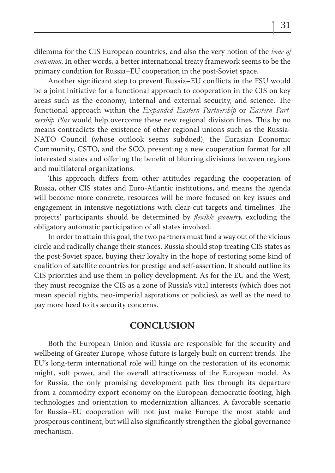dilemma for the CIS European countries, and also the very notion of the *bone of contention*. In other words, a better international treaty framework seems to be the primary condition for Russia–EU cooperation in the post-Soviet space.

Another significant step to prevent Russia–EU conflicts in the FSU would be a joint initiative for a functional approach to cooperation in the CIS on key areas such as the economy, internal and external security, and science. The functional approach within the *Expanded Eastern Partnership* or *Eastern Partnership Plus* would help overcome these new regional division lines. This by no means contradicts the existence of other regional unions such as the Russia-NATO Council (whose outlook seems subdued), the Eurasian Economic Community, CSTO, and the SCO, presenting a new cooperation format for all interested states and offering the benefit of blurring divisions between regions and multilateral organizations.

This approach differs from other attitudes regarding the cooperation of Russia, other CIS states and Euro-Atlantic institutions, and means the agenda will become more concrete, resources will be more focused on key issues and engagement in intensive negotiations with clear-cut targets and timelines. The projects' participants should be determined by *flexible geometry*, excluding the obligatory automatic participation of all states involved.

In order to attain this goal, the two partners must find a way out of the vicious circle and radically change their stances. Russia should stop treating CIS states as the post-Soviet space, buying their loyalty in the hope of restoring some kind of coalition of satellite countries for prestige and self-assertion. It should outline its CIS priorities and use them in policy development. As for the EU and the West, they must recognize the CIS as a zone of Russia's vital interests (which does not mean special rights, neo-imperial aspirations or policies), as well as the need to pay more heed to its security concerns.

#### **CONCLUSION**

Both the European Union and Russia are responsible for the security and wellbeing of Greater Europe, whose future is largely built on current trends. The EU's long-term international role will hinge on the restoration of its economic might, soft power, and the overall attractiveness of the European model. As for Russia, the only promising development path lies through its departure from a commodity export economy on the European democratic footing, high technologies and orientation to modernization alliances. A favorable scenario for Russia–EU cooperation will not just make Europe the most stable and prosperous continent, but will also significantly strengthen the global governance mechanism.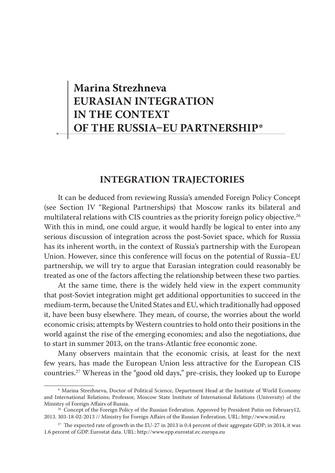## **Marina Strezhneva EURASIAN INTEGRATION IN THE CONTEXT OF THE RUSSIA-EU PARTNERSHIP\***

#### **INTEGRATION TRAJECTORIES**

It can be deduced from reviewing Russia's amended Foreign Policy Concept (see Section IV "Regional Partnerships) that Moscow ranks its bilateral and multilateral relations with CIS countries as the priority foreign policy objective.<sup>26</sup> With this in mind, one could argue, it would hardly be logical to enter into any serious discussion of integration across the post-Soviet space, which for Russia has its inherent worth, in the context of Russia's partnership with the European Union. However, since this conference will focus on the potential of Russia–EU partnership, we will try to argue that Eurasian integration could reasonably be treated as one of the factors affecting the relationship between these two parties.

At the same time, there is the widely held view in the expert community that post-Soviet integration might get additional opportunities to succeed in the medium-term, because the United States and EU, which traditionally had opposed it, have been busy elsewhere. They mean, of course, the worries about the world economic crisis; attempts by Western countries to hold onto their positions in the world against the rise of the emerging economies; and also the negotiations, due to start in summer 2013, on the trans-Atlantic free economic zone.

Many observers maintain that the economic crisis, at least for the next few years, has made the European Union less attractive for the European CIS countries.27 Whereas in the "good old days," pre-crisis, they looked up to Europe

<sup>\*</sup> Marina Strezhneva, Doctor of Political Science, Department Head at the Institute of World Economy and International Relations; Professor, Moscow State Institute of International Relations (University) of the Ministry of Foreign Affairs of Russia.

<sup>&</sup>lt;sup>26</sup> Concept of the Foreign Policy of the Russian Federation. Approved by President Putin on February12, 2013. 303-18-02-2013 // Ministry for Foreign Affairs of the Russian Federation. URL: http://www.mid.ru

<sup>&</sup>lt;sup>27</sup> The expected rate of growth in the EU-27 in 2013 is 0.4 percent of their aggregate GDP; in 2014, it was 1.6 percent of GDP. Eurostat data. URL: http://www.epp.eurostat.ec.europa.eu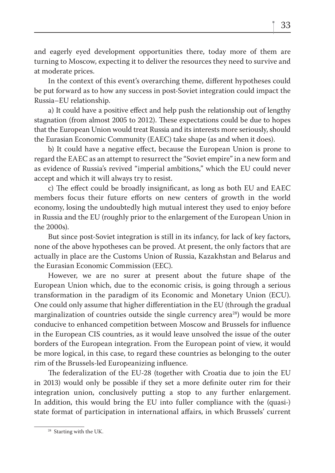and eagerly eyed development opportunities there, today more of them are turning to Moscow, expecting it to deliver the resources they need to survive and at moderate prices.

In the context of this event's overarching theme, different hypotheses could be put forward as to how any success in post-Soviet integration could impact the Russia–EU relationship.

a) It could have a positive effect and help push the relationship out of lengthy stagnation (from almost 2005 to 2012). These expectations could be due to hopes that the European Union would treat Russia and its interests more seriously, should the Eurasian Economic Community (EAEC) take shape (as and when it does).

b) It could have a negative effect, because the European Union is prone to regard the EAEC as an attempt to resurrect the "Soviet empire" in a new form and as evidence of Russia's revived "imperial ambitions," which the EU could never accept and which it will always try to resist.

c) The effect could be broadly insignificant, as long as both EU and EAEC members focus their future efforts on new centers of growth in the world economy, losing the undoubtedly high mutual interest they used to enjoy before in Russia and the EU (roughly prior to the enlargement of the European Union in the 2000s).

But since post-Soviet integration is still in its infancy, for lack of key factors, none of the above hypotheses can be proved. At present, the only factors that are actually in place are the Customs Union of Russia, Kazakhstan and Belarus and the Eurasian Economic Commission (EEC).

However, we are no surer at present about the future shape of the European Union which, due to the economic crisis, is going through a serious transformation in the paradigm of its Economic and Monetary Union (ECU). One could only assume that higher differentiation in the EU (through the gradual marginalization of countries outside the single currency area<sup>28</sup>) would be more conducive to enhanced competition between Moscow and Brussels for influence in the European CIS countries, as it would leave unsolved the issue of the outer borders of the European integration. From the European point of view, it would be more logical, in this case, to regard these countries as belonging to the outer rim of the Brussels-led Europeanizing influence.

The federalization of the EU-28 (together with Croatia due to join the EU in 2013) would only be possible if they set a more definite outer rim for their integration union, conclusively putting a stop to any further enlargement. In addition, this would bring the EU into fuller compliance with the (quasi-) state format of participation in international affairs, in which Brussels' current

<sup>&</sup>lt;sup>28</sup> Starting with the UK.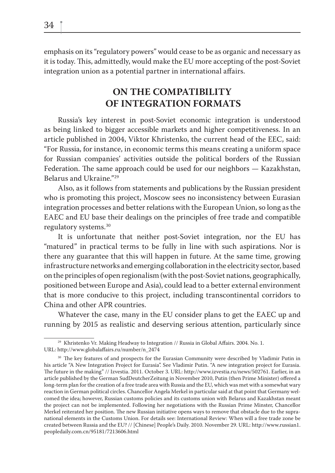emphasis on its "regulatory powers" would cease to be as organic and necessary as it is today. This, admittedly, would make the EU more accepting of the post-Soviet integration union as a potential partner in international affairs.

### **ON THE COMPATIBILITY OF INTEGRATION FORMATS**

Russia's key interest in post-Soviet economic integration is understood as being linked to bigger accessible markets and higher competitiveness. In an article published in 2004, Viktor Khristenko, the current head of the EEC, said: "For Russia, for instance, in economic terms this means creating a uniform space for Russian companies' activities outside the political borders of the Russian Federation. The same approach could be used for our neighbors  $-$  Kazakhstan, Belarus and Ukraine."29

Also, as it follows from statements and publications by the Russian president who is promoting this project, Moscow sees no inconsistency between Eurasian integration processes and better relations with the European Union, so long as the EAEC and EU base their dealings on the principles of free trade and compatible regulatory systems.30

It is unfortunate that neither post-Soviet integration, nor the EU has "matured" in practical terms to be fully in line with such aspirations. Nor is there any guarantee that this will happen in future. At the same time, growing infrastructure networks and emerging collaboration in the electricity sector, based on the principles of open regionalism (with the post-Soviet nations, geographically, positioned between Europe and Asia), could lead to a better external environment that is more conducive to this project, including transcontinental corridors to China and other APR countries.

Whatever the case, many in the EU consider plans to get the EAEC up and running by 2015 as realistic and deserving serious attention, particularly since

<sup>&</sup>lt;sup>29</sup> Khristenko Vr. Making Headway to Integration // Russia in Global Affairs. 2004. No. 1. URL: http://www.globalaffairs.ru/number/n\_2474

<sup>&</sup>lt;sup>30</sup> The key features of and prospects for the Eurasian Community were described by Vladimir Putin in his article "A New Integration Project for Eurasia". See Vladimir Putin. "A new integration project for Eurasia. The future in the making" // Izvestia. 2011. October 3. URL: http://www.izvestia.ru/news/502761. Earlier, in an article published by the German SudDeutcherZeitung in November 2010, Putin (then Prime Minister) offered a long-term plan for the creation of a free trade area with Russia and the EU, which was met with a somewhat wary reaction in German political circles. Chancellor Angela Merkel in particular said at that point that Germany welcomed the idea; however, Russian customs policies and its customs union with Belarus and Kazakhstan meant the project can not be implemented. Following her negotiations with the Russian Prime Minster, Chancellor Merkel reiterated her position. The new Russian initiative opens ways to remove that obstacle due to the supranational elements in the Customs Union. For details see: International Review: When will a free trade zone be created between Russia and the EU? // [Chinese] People's Daily. 2010. November 29. URL: http://www.russian1. peopledaily.com.cn/95181/7213606.html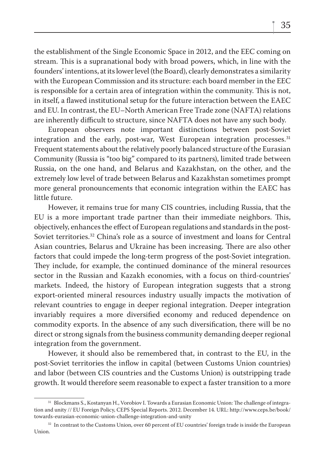the establishment of the Single Economic Space in 2012, and the EEC coming on stream. This is a supranational body with broad powers, which, in line with the founders' intentions, at its lower level (the Board), clearly demonstrates a similarity with the European Commission and its structure: each board member in the EEC is responsible for a certain area of integration within the community. This is not, in itself, a flawed institutional setup for the future interaction between the EAEC and EU. In contrast, the EU–North American Free Trade zone (NAFTA) relations are inherently difficult to structure, since NAFTA does not have any such body.

European observers note important distinctions between post-Soviet integration and the early, post-war, West European integration processes.<sup>31</sup> Frequent statements about the relatively poorly balanced structure of the Eurasian Community (Russia is "too big" compared to its partners), limited trade between Russia, on the one hand, and Belarus and Kazakhstan, on the other, and the extremely low level of trade between Belarus and Kazakhstan sometimes prompt more general pronouncements that economic integration within the EAEC has little future.

However, it remains true for many CIS countries, including Russia, that the EU is a more important trade partner than their immediate neighbors. This, objectively, enhances the effect of European regulations and standards in the post-Soviet territories.32 China's role as a source of investment and loans for Central Asian countries, Belarus and Ukraine has been increasing. There are also other factors that could impede the long-term progress of the post-Soviet integration. They include, for example, the continued dominance of the mineral resources sector in the Russian and Kazakh economies, with a focus on third-countries' markets. Indeed, the history of European integration suggests that a strong export-oriented mineral resources industry usually impacts the motivation of relevant countries to engage in deeper regional integration. Deeper integration invariably requires a more diversified economy and reduced dependence on commodity exports. In the absence of any such diversification, there will be no direct or strong signals from the business community demanding deeper regional integration from the government.

However, it should also be remembered that, in contrast to the EU, in the post-Soviet territories the inflow in capital (between Customs Union countries) and labor (between CIS countries and the Customs Union) is outstripping trade growth. It would therefore seem reasonable to expect a faster transition to a more

<sup>&</sup>lt;sup>31</sup> Blockmans S., Kostanyan H., Vorobiov I. Towards a Eurasian Economic Union: The challenge of integration and unity // EU Foreign Policy, CEPS Special Reports. 2012. December 14. URL: http://www.ceps.be/book/ towards-eurasian-economic-union-challenge-integration-and-unity

<sup>&</sup>lt;sup>32</sup> In contrast to the Customs Union, over 60 percent of EU countries' foreign trade is inside the European Union.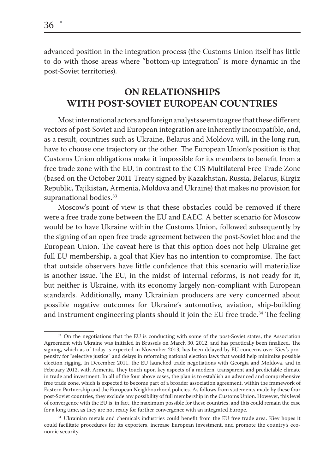advanced position in the integration process (the Customs Union itself has little to do with those areas where "bottom-up integration" is more dynamic in the post-Soviet territories).

## **ON RELATIONSHIPS WITH POST-SOVIET EUROPEAN COUNTRIES**

Most international actors and foreign analysts seem to agree that these different vectors of post-Soviet and European integration are inherently incompatible, and, as a result, countries such as Ukraine, Belarus and Moldova will, in the long run, have to choose one trajectory or the other. The European Union's position is that Customs Union obligations make it impossible for its members to benefit from a free trade zone with the EU, in contrast to the CIS Multilateral Free Trade Zone (based on the October 2011 Treaty signed by Kazakhstan, Russia, Belarus, Kirgiz Republic, Tajikistan, Armenia, Moldova and Ukraine) that makes no provision for supranational bodies.<sup>33</sup>

Moscow's point of view is that these obstacles could be removed if there were a free trade zone between the EU and EAEC. A better scenario for Moscow would be to have Ukraine within the Customs Union, followed subsequently by the signing of an open free trade agreement between the post-Soviet bloc and the European Union. The caveat here is that this option does not help Ukraine get full EU membership, a goal that Kiev has no intention to compromise. The fact that outside observers have little confidence that this scenario will materialize is another issue. The EU, in the midst of internal reforms, is not ready for it, but neither is Ukraine, with its economy largely non-compliant with European standards. Additionally, many Ukrainian producers are very concerned about possible negative outcomes for Ukraine's automotive, aviation, ship-building and instrument engineering plants should it join the EU free trade.<sup>34</sup> The feeling

<sup>&</sup>lt;sup>33</sup> On the negotiations that the EU is conducting with some of the post-Soviet states, the Association Agreement with Ukraine was initialed in Brussels on March 30, 2012, and has practically been finalized. The signing, which as of today is expected in November 2013, has been delayed by EU concerns over Kiev's propensity for "selective justice" and delays in reforming national election laws that would help minimize possible election rigging. In December 2011, the EU launched trade negotiations with Georgia and Moldova, and in February 2012, with Armenia. They touch upon key aspects of a modern, transparent and predictable climate in trade and investment. In all of the four above cases, the plan is to establish an advanced and comprehensive free trade zone, which is expected to become part of a broader association agreement, within the framework of Eastern Partnership and the European Neighbourhood policies. As follows from statements made by these four post-Soviet countries, they exclude any possibility of full membership in the Customs Union. However, this level of convergence with the EU is, in fact, the maximum possible for these countries, and this could remain the case for a long time, as they are not ready for further convergence with an integrated Europe.

<sup>&</sup>lt;sup>34</sup> Ukrainian metals and chemicals industries could benefit from the EU free trade area. Kiev hopes it could facilitate procedures for its exporters, increase European investment, and promote the country's economic security.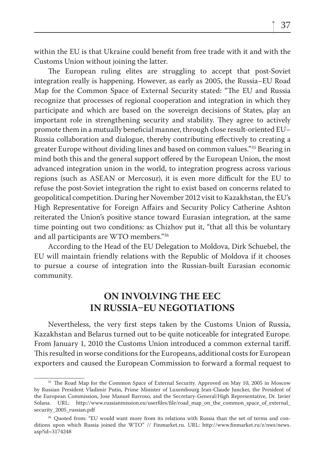within the EU is that Ukraine could benefit from free trade with it and with the Customs Union without joining the latter.

The European ruling elites are struggling to accept that post-Soviet integration really is happening. However, as early as 2005, the Russia–EU Road Map for the Common Space of External Security stated: "The EU and Russia recognize that processes of regional cooperation and integration in which they participate and which are based on the sovereign decisions of States, play an important role in strengthening security and stability. They agree to actively promote them in a mutually beneficial manner, through close result-oriented EU– Russia collaboration and dialogue, thereby contributing effectively to creating a greater Europe without dividing lines and based on common values."35 Bearing in mind both this and the general support offered by the European Union, the most advanced integration union in the world, to integration progress across various regions (such as ASEAN or Mercosur), it is even more difficult for the EU to refuse the post-Soviet integration the right to exist based on concerns related to geopolitical competition. During her November 2012 visit to Kazakhstan, the EU's High Representative for Foreign Affairs and Security Policy Catherine Ashton reiterated the Union's positive stance toward Eurasian integration, at the same time pointing out two conditions: as Chizhov put it, "that all this be voluntary and all participants are WTO members."36

According to the Head of the EU Delegation to Moldova, Dirk Schuebel, the EU will maintain friendly relations with the Republic of Moldova if it chooses to pursue a course of integration into the Russian-built Eurasian economic community.

## **ON INVOLVING THE EEC IN RUSSIA-EU NEGOTIATIONS**

Nevertheless, the very first steps taken by the Customs Union of Russia, Kazakhstan and Belarus turned out to be quite noticeable for integrated Europe. From January 1, 2010 the Customs Union introduced a common external tariff. This resulted in worse conditions for the Europeans, additional costs for European exporters and caused the European Commission to forward a formal request to

<sup>&</sup>lt;sup>35</sup> The Road Map for the Common Space of External Security. Approved on May 10, 2005 in Moscow by Russian President Vladimir Putin, Prime Minister of Luxembourg Jean-Claude Juncker, the President of the European Commission, Jose Manuel Barroso, and the Secretary-General/High Representative, Dr. Javier Solana. URL: http://www.russianmission.eu/userfiles/file/road map on the common space of external security 2005 russian.pdf

<sup>&</sup>lt;sup>36</sup> Quoted from: "EU would want more from its relations with Russia than the set of terms and conditions upon which Russia joined the WTO" // Finmarket.ru. URL: http://www.finmarket.ru/z/nws/news. asp?id=3174248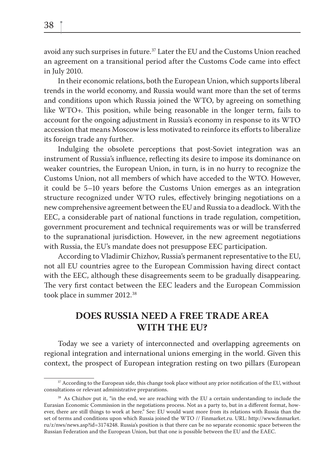avoid any such surprises in future.37 Later the EU and the Customs Union reached an agreement on a transitional period after the Customs Code came into effect in July 2010.

In their economic relations, both the European Union, which supports liberal trends in the world economy, and Russia would want more than the set of terms and conditions upon which Russia joined the WTO, by agreeing on something like  $WTO+$ . This position, while being reasonable in the longer term, fails to account for the ongoing adjustment in Russia's economy in response to its WTO accession that means Moscow is less motivated to reinforce its efforts to liberalize its foreign trade any further.

Indulging the obsolete perceptions that post-Soviet integration was an instrument of Russia's influence, reflecting its desire to impose its dominance on weaker countries, the European Union, in turn, is in no hurry to recognize the Customs Union, not all members of which have acceded to the WTO. However, it could be 5–10 years before the Customs Union emerges as an integration structure recognized under WTO rules, effectively bringing negotiations on a new comprehensive agreement between the EU and Russia to a deadlock. With the EEC, a considerable part of national functions in trade regulation, competition, government procurement and technical requirements was or will be transferred to the supranational jurisdiction. However, in the new agreement negotiations with Russia, the EU's mandate does not presuppose EEC participation.

According to Vladimir Chizhov, Russia's permanent representative to the EU, not all EU countries agree to the European Commission having direct contact with the EEC, although these disagreements seem to be gradually disappearing. The very first contact between the EEC leaders and the European Commission took place in summer 2012.<sup>38</sup>

## **DOES RUSSIA NEED A FREE TRADE AREA WITH THE EU?**

Today we see a variety of interconnected and overlapping agreements on regional integration and international unions emerging in the world. Given this context, the prospect of European integration resting on two pillars (European

<sup>&</sup>lt;sup>37</sup> According to the European side, this change took place without any prior notification of the EU, without consultations or relevant administrative preparations.

<sup>&</sup>lt;sup>38</sup> As Chizhov put it, "in the end, we are reaching with the EU a certain understanding to include the Eurasian Economic Commission in the negotiations process. Not as a party to, but in a different format, however, there are still things to work at here." See: EU would want more from its relations with Russia than the set of terms and conditions upon which Russia joined the WTO // Finmarket.ru. URL: http://www.finmarket. ru/z/nws/news.asp?id=3174248. Russia's position is that there can be no separate economic space between the Russian Federation and the European Union, but that one is possible between the EU and the EAEC.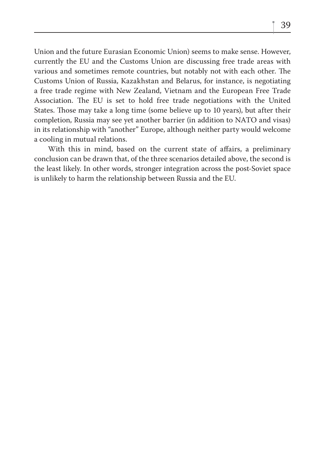Union and the future Eurasian Economic Union) seems to make sense. However, currently the EU and the Customs Union are discussing free trade areas with various and sometimes remote countries, but notably not with each other. The Customs Union of Russia, Kazakhstan and Belarus, for instance, is negotiating a free trade regime with New Zealand, Vietnam and the European Free Trade Association. The EU is set to hold free trade negotiations with the United States. Those may take a long time (some believe up to 10 years), but after their completion, Russia may see yet another barrier (in addition to NATO and visas) in its relationship with "another" Europe, although neither party would welcome a cooling in mutual relations.

With this in mind, based on the current state of affairs, a preliminary conclusion can be drawn that, of the three scenarios detailed above, the second is the least likely. In other words, stronger integration across the post-Soviet space is unlikely to harm the relationship between Russia and the EU.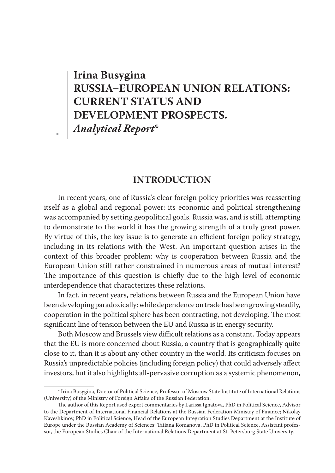# **Irina Busygina RUSSIA-EUROPEAN UNION RELATIONS: CURRENT STATUS AND DEVELOPMENT PROSPECTS.** *Analytical Report***\***

## **INTRODUCTION**

In recent years, one of Russia's clear foreign policy priorities was reasserting itself as a global and regional power: its economic and political strengthening was accompanied by setting geopolitical goals. Russia was, and is still, attempting to demonstrate to the world it has the growing strength of a truly great power. By virtue of this, the key issue is to generate an efficient foreign policy strategy, including in its relations with the West. An important question arises in the context of this broader problem: why is cooperation between Russia and the European Union still rather constrained in numerous areas of mutual interest? The importance of this question is chiefly due to the high level of economic interdependence that characterizes these relations.

In fact, in recent years, relations between Russia and the European Union have been developing paradoxically: while dependence on trade has been growing steadily, cooperation in the political sphere has been contracting, not developing. The most significant line of tension between the EU and Russia is in energy security.

Both Moscow and Brussels view difficult relations as a constant. Today appears that the EU is more concerned about Russia, a country that is geographically quite close to it, than it is about any other country in the world. Its criticism focuses on Russia's unpredictable policies (including foreign policy) that could adversely affect investors, but it also highlights all-pervasive corruption as a systemic phenomenon,

<sup>\*</sup> Irina Busygina, Doctor of Political Science, Professor of Moscow State Institute of International Relations (University) of the Ministry of Foreign Affairs of the Russian Federation.

The author of this Report used expert commentaries by Larissa Ignatova, PhD in Political Science, Advisor to the Department of International Financial Relations at the Russian Federation Ministry of Finance; Nikolay Kaveshkinov, PhD in Political Science, Head of the European Integration Studies Department at the Institute of Europe under the Russian Academy of Sciences; Tatiana Romanova, PhD in Political Science, Assistant professor, the European Studies Chair of the International Relations Department at St. Petersburg State University.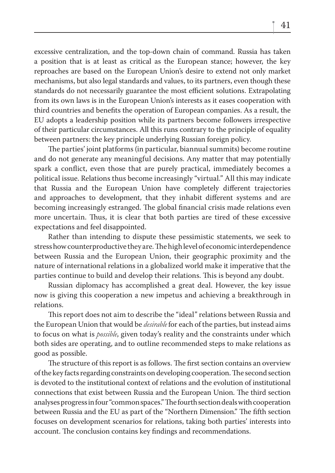excessive centralization, and the top-down chain of command. Russia has taken a position that is at least as critical as the European stance; however, the key reproaches are based on the European Union's desire to extend not only market mechanisms, but also legal standards and values, to its partners, even though these standards do not necessarily guarantee the most efficient solutions. Extrapolating from its own laws is in the European Union's interests as it eases cooperation with third countries and benefits the operation of European companies. As a result, the EU adopts a leadership position while its partners become followers irrespective of their particular circumstances. All this runs contrary to the principle of equality between partners: the key principle underlying Russian foreign policy.

The parties' joint platforms (in particular, biannual summits) become routine and do not generate any meaningful decisions. Any matter that may potentially spark a conflict, even those that are purely practical, immediately becomes a political issue. Relations thus become increasingly "virtual." All this may indicate that Russia and the European Union have completely different trajectories and approaches to development, that they inhabit different systems and are becoming increasingly estranged. The global financial crisis made relations even more uncertain. Thus, it is clear that both parties are tired of these excessive expectations and feel disappointed.

Rather than intending to dispute these pessimistic statements, we seek to stress how counterproductive they are. The high level of economic interdependence between Russia and the European Union, their geographic proximity and the nature of international relations in a globalized world make it imperative that the parties continue to build and develop their relations. This is beyond any doubt.

Russian diplomacy has accomplished a great deal. However, the key issue now is giving this cooperation a new impetus and achieving a breakthrough in relations.

This report does not aim to describe the "ideal" relations between Russia and the European Union that would be *desirable* for each of the parties, but instead aims to focus on what is *possible*, given today's reality and the constraints under which both sides are operating, and to outline recommended steps to make relations as good as possible.

The structure of this report is as follows. The first section contains an overview of the key facts regarding constraints on developing cooperation. The second section is devoted to the institutional context of relations and the evolution of institutional connections that exist between Russia and the European Union. The third section analyses progress in four "common spaces." The fourth section deals with cooperation between Russia and the EU as part of the "Northern Dimension." The fifth section focuses on development scenarios for relations, taking both parties' interests into account. The conclusion contains key findings and recommendations.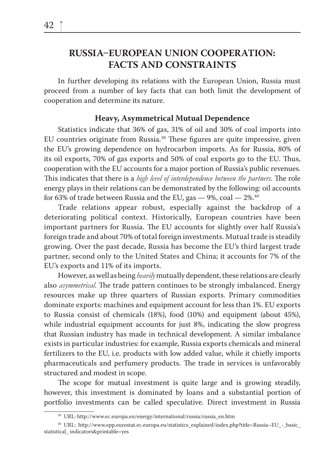## **RUSSIA-EUROPEAN UNION COOPERATION: FACTS AND CONSTRAINTS**

In further developing its relations with the European Union, Russia must proceed from a number of key facts that can both limit the development of cooperation and determine its nature.

#### **Heavy, Asymmetrical Mutual Dependence**

Statistics indicate that 36% of gas, 31% of oil and 30% of coal imports into EU countries originate from Russia.<sup>39</sup> These figures are quite impressive, given the EU's growing dependence on hydrocarbon imports. As for Russia, 80% of its oil exports, 70% of gas exports and 50% of coal exports go to the EU. Thus, cooperation with the EU accounts for a major portion of Russia's public revenues. This indicates that there is a *high level of interdependence between the partners*. The role energy plays in their relations can be demonstrated by the following: oil accounts for 63% of trade between Russia and the EU, gas  $-$  9%, coal  $-$  2%.<sup>40</sup>

Trade relations appear robust, especially against the backdrop of a deteriorating political context. Historically, European countries have been important partners for Russia. The EU accounts for slightly over half Russia's foreign trade and about 70% of total foreign investments. Mutual trade is steadily growing. Over the past decade, Russia has become the EU's third largest trade partner, second only to the United States and China; it accounts for 7% of the EU's exports and 11% of its imports.

However, as well as being *heavily* mutually dependent, these relations are clearly also *asymmetrical*. The trade pattern continues to be strongly imbalanced. Energy resources make up three quarters of Russian exports. Primary commodities dominate exports: machines and equipment account for less than 1%. EU exports to Russia consist of chemicals (18%), food (10%) and equipment (about 45%), while industrial equipment accounts for just 8%, indicating the slow progress that Russian industry has made in technical development. A similar imbalance exists in particular industries: for example, Russia exports chemicals and mineral fertilizers to the EU, i.e. products with low added value, while it chiefly imports pharmaceuticals and perfumery products. The trade in services is unfavorably structured and modest in scope.

The scope for mutual investment is quite large and is growing steadily, however, this investment is dominated by loans and a substantial portion of portfolio investments can be called speculative. Direct investment in Russia

<sup>39</sup> URL: http://www.ec.europa.eu/energy/international/russia/russia\_en.htm

<sup>40</sup> URL: http://www.epp.eurostat.ec.europa.eu/statistics\_explained/index.php?title=Russia–EU\_-\_basic\_ statistical\_ indicators&printable=yes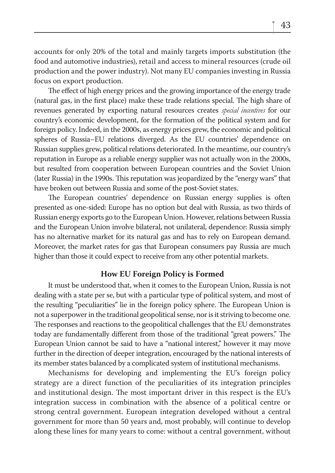accounts for only 20% of the total and mainly targets imports substitution (the food and automotive industries), retail and access to mineral resources (crude oil production and the power industry). Not many EU companies investing in Russia focus on export production.

The effect of high energy prices and the growing importance of the energy trade (natural gas, in the first place) make these trade relations special. The high share of revenues generated by exporting natural resources creates *special incentives* for our country's economic development, for the formation of the political system and for foreign policy. Indeed, in the 2000s, as energy prices grew, the economic and political spheres of Russia–EU relations diverged. As the EU countries' dependence on Russian supplies grew, political relations deteriorated. In the meantime, our country's reputation in Europe as a reliable energy supplier was not actually won in the 2000s, but resulted from cooperation between European countries and the Soviet Union (later Russia) in the 1990s. This reputation was jeopardized by the "energy wars" that have broken out between Russia and some of the post-Soviet states.

The European countries' dependence on Russian energy supplies is often presented as one-sided: Europe has no option but deal with Russia, as two thirds of Russian energy exports go to the European Union. However, relations between Russia and the European Union involve bilateral, not unilateral, dependence: Russia simply has no alternative market for its natural gas and has to rely on European demand. Moreover, the market rates for gas that European consumers pay Russia are much higher than those it could expect to receive from any other potential markets.

#### **How EU Foreign Policy is Formed**

It must be understood that, when it comes to the European Union, Russia is not dealing with a state per se, but with a particular type of political system, and most of the resulting "peculiarities" lie in the foreign policy sphere. The European Union is not a superpower in the traditional geopolitical sense, nor is it striving to become one. The responses and reactions to the geopolitical challenges that the EU demonstrates today are fundamentally different from those of the traditional "great powers." The European Union cannot be said to have a "national interest," however it may move further in the direction of deeper integration, encouraged by the national interests of its member states balanced by a complicated system of institutional mechanisms.

Mechanisms for developing and implementing the EU's foreign policy strategy are a direct function of the peculiarities of its integration principles and institutional design. The most important driver in this respect is the EU's integration success in combination with the absence of a political centre or strong central government. European integration developed without a central government for more than 50 years and, most probably, will continue to develop along these lines for many years to come: without a central government, without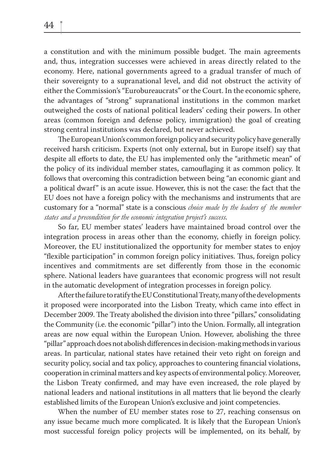a constitution and with the minimum possible budget. The main agreements and, thus, integration successes were achieved in areas directly related to the economy. Here, national governments agreed to a gradual transfer of much of their sovereignty to a supranational level, and did not obstruct the activity of either the Commission's "Eurobureaucrats" or the Court. In the economic sphere, the advantages of "strong" supranational institutions in the common market outweighed the costs of national political leaders' ceding their powers. In other areas (common foreign and defense policy, immigration) the goal of creating strong central institutions was declared, but never achieved.

The European Union's common foreign policy and security policy have generally received harsh criticism. Experts (not only external, but in Europe itself) say that despite all efforts to date, the EU has implemented only the "arithmetic mean" of the policy of its individual member states, camouflaging it as common policy. It follows that overcoming this contradiction between being "an economic giant and a political dwarf" is an acute issue. However, this is not the case: the fact that the EU does not have a foreign policy with the mechanisms and instruments that are customary for a "normal" state is a conscious *choice made by the leaders of the member states and a precondition for the economic integration project's success*.

So far, EU member states' leaders have maintained broad control over the integration process in areas other than the economy, chiefly in foreign policy. Moreover, the EU institutionalized the opportunity for member states to enjoy "flexible participation" in common foreign policy initiatives. Thus, foreign policy incentives and commitments are set differently from those in the economic sphere. National leaders have guarantees that economic progress will not result in the automatic development of integration processes in foreign policy.

After the failure to ratify the EU Constitutional Treaty, many of the developments it proposed were incorporated into the Lisbon Treaty, which came into effect in December 2009. The Treaty abolished the division into three "pillars," consolidating the Community (i.e. the economic "pillar") into the Union. Formally, all integration areas are now equal within the European Union. However, abolishing the three "pillar" approach does not abolish differences in decision-making methods in various areas. In particular, national states have retained their veto right on foreign and security policy, social and tax policy, approaches to countering financial violations, cooperation in criminal matters and key aspects of environmental policy. Moreover, the Lisbon Treaty confirmed, and may have even increased, the role played by national leaders and national institutions in all matters that lie beyond the clearly established limits of the European Union's exclusive and joint competencies.

When the number of EU member states rose to 27, reaching consensus on any issue became much more complicated. It is likely that the European Union's most successful foreign policy projects will be implemented, on its behalf, by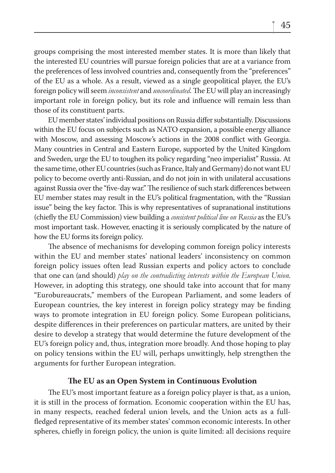groups comprising the most interested member states. It is more than likely that the interested EU countries will pursue foreign policies that are at a variance from the preferences of less involved countries and, consequently from the "preferences" of the EU as a whole. As a result, viewed as a single geopolitical player, the EU's foreign policy will seem *inconsistent* and *uncoordinated*. The EU will play an increasingly important role in foreign policy, but its role and influence will remain less than those of its constituent parts.

EU member states' individual positions on Russia differ substantially. Discussions within the EU focus on subjects such as NATO expansion, a possible energy alliance with Moscow, and assessing Moscow's actions in the 2008 conflict with Georgia. Many countries in Central and Eastern Europe, supported by the United Kingdom and Sweden, urge the EU to toughen its policy regarding "neo imperialist" Russia. At the same time, other EU countries (such as France, Italy and Germany) do not want EU policy to become overtly anti-Russian, and do not join in with unilateral accusations against Russia over the "five-day war." The resilience of such stark differences between EU member states may result in the EU's political fragmentation, with the "Russian issue" being the key factor. This is why representatives of supranational institutions (chiefly the EU Commission) view building a *consistent political line on Russia* as the EU's most important task. However, enacting it is seriously complicated by the nature of how the EU forms its foreign policy.

The absence of mechanisms for developing common foreign policy interests within the EU and member states' national leaders' inconsistency on common foreign policy issues often lead Russian experts and policy actors to conclude that one can (and should) *play on the contradicting interests within the European Union*. However, in adopting this strategy, one should take into account that for many "Eurobureaucrats," members of the European Parliament, and some leaders of European countries, the key interest in foreign policy strategy may be finding ways to promote integration in EU foreign policy. Some European politicians, despite differences in their preferences on particular matters, are united by their desire to develop a strategy that would determine the future development of the EU's foreign policy and, thus, integration more broadly. And those hoping to play on policy tensions within the EU will, perhaps unwittingly, help strengthen the arguments for further European integration.

#### The EU as an Open System in Continuous Evolution

The EU's most important feature as a foreign policy player is that, as a union, it is still in the process of formation. Economic cooperation within the EU has, in many respects, reached federal union levels, and the Union acts as a fullfledged representative of its member states' common economic interests. In other spheres, chiefly in foreign policy, the union is quite limited: all decisions require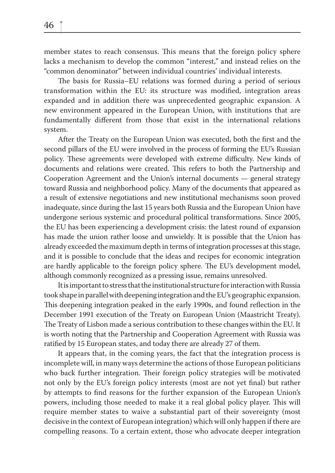member states to reach consensus. This means that the foreign policy sphere lacks a mechanism to develop the common "interest," and instead relies on the "common denominator" between individual countries' individual interests.

The basis for Russia–EU relations was formed during a period of serious transformation within the EU: its structure was modified, integration areas expanded and in addition there was unprecedented geographic expansion. A new environment appeared in the European Union, with institutions that are fundamentally different from those that exist in the international relations system.

After the Treaty on the European Union was executed, both the first and the second pillars of the EU were involved in the process of forming the EU's Russian policy. These agreements were developed with extreme difficulty. New kinds of documents and relations were created. This refers to both the Partnership and Cooperation Agreement and the Union's internal documents — general strategy toward Russia and neighborhood policy. Many of the documents that appeared as a result of extensive negotiations and new institutional mechanisms soon proved inadequate, since during the last 15 years both Russia and the European Union have undergone serious systemic and procedural political transformations. Since 2005, the EU has been experiencing a development crisis: the latest round of expansion has made the union rather loose and unwieldy. It is possible that the Union has already exceeded the maximum depth in terms of integration processes at this stage, and it is possible to conclude that the ideas and recipes for economic integration are hardly applicable to the foreign policy sphere. The EU's development model, although commonly recognized as a pressing issue, remains unresolved.

It is important to stress that the institutional structure for interaction with Russia took shape in parallel with deepening integration and the EU's geographic expansion. This deepening integration peaked in the early 1990s, and found reflection in the December 1991 execution of the Treaty on European Union (Maastricht Treaty). The Treaty of Lisbon made a serious contribution to these changes within the EU. It is worth noting that the Partnership and Cooperation Agreement with Russia was ratified by 15 European states, and today there are already 27 of them.

It appears that, in the coming years, the fact that the integration process is incomplete will, in many ways determine the actions of those European politicians who back further integration. Their foreign policy strategies will be motivated not only by the EU's foreign policy interests (most are not yet final) but rather by attempts to find reasons for the further expansion of the European Union's powers, including those needed to make it a real global policy player. This will require member states to waive a substantial part of their sovereignty (most decisive in the context of European integration) which will only happen if there are compelling reasons. To a certain extent, those who advocate deeper integration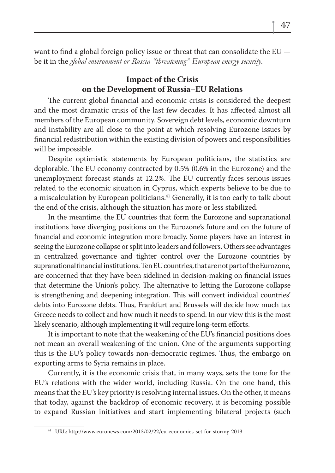want to find a global foreign policy issue or threat that can consolidate the  $EU$ be it in the *global environment or Russia "threatening" European energy security*.

## **Impact of the Crisis on the Development of Russia–EU Relations**

The current global financial and economic crisis is considered the deepest and the most dramatic crisis of the last few decades. It has affected almost all members of the European community. Sovereign debt levels, economic downturn and instability are all close to the point at which resolving Eurozone issues by financial redistribution within the existing division of powers and responsibilities will be impossible.

Despite optimistic statements by European politicians, the statistics are deplorable. The EU economy contracted by 0.5% (0.6% in the Eurozone) and the unemployment forecast stands at 12.2%. The EU currently faces serious issues related to the economic situation in Cyprus, which experts believe to be due to a miscalculation by European politicians.<sup>41</sup> Generally, it is too early to talk about the end of the crisis, although the situation has more or less stabilized.

In the meantime, the EU countries that form the Eurozone and supranational institutions have diverging positions on the Eurozone's future and on the future of financial and economic integration more broadly. Some players have an interest in seeing the Eurozone collapse or split into leaders and followers. Others see advantages in centralized governance and tighter control over the Eurozone countries by supranational financial institutions. Ten EU countries, that are not part of the Eurozone, are concerned that they have been sidelined in decision-making on financial issues that determine the Union's policy. The alternative to letting the Eurozone collapse is strengthening and deepening integration. This will convert individual countries' debts into Eurozone debts. Thus, Frankfurt and Brussels will decide how much tax Greece needs to collect and how much it needs to spend. In our view this is the most likely scenario, although implementing it will require long-term efforts.

It is important to note that the weakening of the EU's financial positions does not mean an overall weakening of the union. One of the arguments supporting this is the EU's policy towards non-democratic regimes. Thus, the embargo on exporting arms to Syria remains in place.

Currently, it is the economic crisis that, in many ways, sets the tone for the EU's relations with the wider world, including Russia. On the one hand, this means that the EU's key priority is resolving internal issues. On the other, it means that today, against the backdrop of economic recovery, it is becoming possible to expand Russian initiatives and start implementing bilateral projects (such

<sup>41</sup> URL: http://www.euronews.com/2013/02/22/eu-economies-set-for-stormy-2013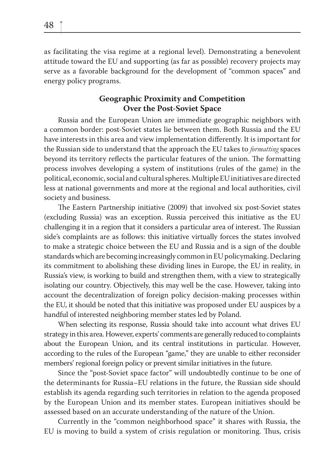as facilitating the visa regime at a regional level). Demonstrating a benevolent attitude toward the EU and supporting (as far as possible) recovery projects may serve as a favorable background for the development of "common spaces" and energy policy programs.

### **Geographic Proximity and Competition Over the Post-Soviet Space**

Russia and the European Union are immediate geographic neighbors with a common border: post-Soviet states lie between them. Both Russia and the EU have interests in this area and view implementation differently. It is important for the Russian side to understand that the approach the EU takes to *formatting* spaces beyond its territory reflects the particular features of the union. The formatting process involves developing a system of institutions (rules of the game) in the political, economic, social and cultural spheres. Multiple EU initiatives are directed less at national governments and more at the regional and local authorities, civil society and business.

The Eastern Partnership initiative (2009) that involved six post-Soviet states (excluding Russia) was an exception. Russia perceived this initiative as the EU challenging it in a region that it considers a particular area of interest. The Russian side's complaints are as follows: this initiative virtually forces the states involved to make a strategic choice between the EU and Russia and is a sign of the double standards which are becoming increasingly common in EU policymaking. Declaring its commitment to abolishing these dividing lines in Europe, the EU in reality, in Russia's view, is working to build and strengthen them, with a view to strategically isolating our country. Objectively, this may well be the case. However, taking into account the decentralization of foreign policy decision-making processes within the EU, it should be noted that this initiative was proposed under EU auspices by a handful of interested neighboring member states led by Poland.

When selecting its response, Russia should take into account what drives EU strategy in this area. However, experts' comments are generally reduced to complaints about the European Union, and its central institutions in particular. However, according to the rules of the European "game," they are unable to either reconsider members' regional foreign policy or prevent similar initiatives in the future.

Since the "post-Soviet space factor" will undoubtedly continue to be one of the determinants for Russia–EU relations in the future, the Russian side should establish its agenda regarding such territories in relation to the agenda proposed by the European Union and its member states. European initiatives should be assessed based on an accurate understanding of the nature of the Union.

Currently in the "common neighborhood space" it shares with Russia, the EU is moving to build a system of crisis regulation or monitoring. Thus, crisis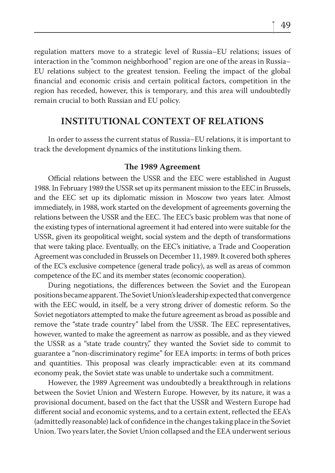regulation matters move to a strategic level of Russia–EU relations; issues of interaction in the "common neighborhood" region are one of the areas in Russia– EU relations subject to the greatest tension. Feeling the impact of the global financial and economic crisis and certain political factors, competition in the region has receded, however, this is temporary, and this area will undoubtedly remain crucial to both Russian and EU policy.

## **INSTITUTIONAL CONTEXT OF RELATIONS**

In order to assess the current status of Russia–EU relations, it is important to track the development dynamics of the institutions linking them.

#### The 1989 Agreement

Official relations between the USSR and the EEC were established in August 1988. In February 1989 the USSR set up its permanent mission to the EEC in Brussels, and the EEC set up its diplomatic mission in Moscow two years later. Almost immediately, in 1988, work started on the development of agreements governing the relations between the USSR and the EEC. The EEC's basic problem was that none of the existing types of international agreement it had entered into were suitable for the USSR, given its geopolitical weight, social system and the depth of transformations that were taking place. Eventually, on the EEC's initiative, a Trade and Cooperation Agreement was concluded in Brussels on December 11, 1989. It covered both spheres of the EC's exclusive competence (general trade policy), as well as areas of common competence of the EC and its member states (economic cooperation).

During negotiations, the differences between the Soviet and the European positions became apparent. The Soviet Union's leadership expected that convergence with the EEC would, in itself, be a very strong driver of domestic reform. So the Soviet negotiators attempted to make the future agreement as broad as possible and remove the "state trade country" label from the USSR. The EEC representatives, however, wanted to make the agreement as narrow as possible, and as they viewed the USSR as a "state trade country," they wanted the Soviet side to commit to guarantee a "non-discriminatory regime" for EEA imports: in terms of both prices and quantities. This proposal was clearly impracticable: even at its command economy peak, the Soviet state was unable to undertake such a commitment.

However, the 1989 Agreement was undoubtedly a breakthrough in relations between the Soviet Union and Western Europe. However, by its nature, it was a provisional document, based on the fact that the USSR and Western Europe had different social and economic systems, and to a certain extent, reflected the EEA's (admittedly reasonable) lack of confidence in the changes taking place in the Soviet Union. Two years later, the Soviet Union collapsed and the EEA underwent serious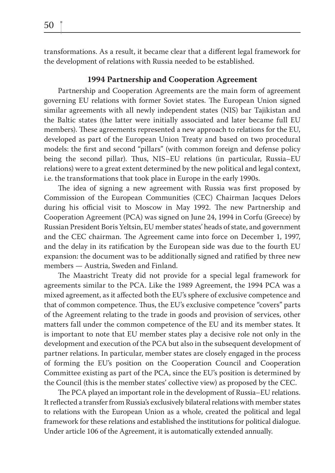transformations. As a result, it became clear that a different legal framework for the development of relations with Russia needed to be established.

#### **1994 Partnership and Cooperation Agreement**

Partnership and Cooperation Agreements are the main form of agreement governing EU relations with former Soviet states. The European Union signed similar agreements with all newly independent states (NIS) bar Tajikistan and the Baltic states (the latter were initially associated and later became full EU members). These agreements represented a new approach to relations for the EU, developed as part of the European Union Treaty and based on two procedural models: the first and second "pillars" (with common foreign and defense policy being the second pillar). Thus, NIS–EU relations (in particular, Russia–EU relations) were to a great extent determined by the new political and legal context, i.e. the transformations that took place in Europe in the early 1990s.

The idea of signing a new agreement with Russia was first proposed by Commission of the European Communities (CEC) Chairman Jacques Delors during his official visit to Moscow in May 1992. The new Partnership and Cooperation Agreement (PCA) was signed on June 24, 1994 in Corfu (Greece) by Russian President Boris Yeltsin, EU member states' heads of state, and government and the CEC chairman. The Agreement came into force on December 1, 1997, and the delay in its ratification by the European side was due to the fourth EU expansion: the document was to be additionally signed and ratified by three new members — Austria, Sweden and Finland.

The Maastricht Treaty did not provide for a special legal framework for agreements similar to the PCA. Like the 1989 Agreement, the 1994 PCA was a mixed agreement, as it affected both the EU's sphere of exclusive competence and that of common competence. Thus, the EU's exclusive competence "covers" parts of the Agreement relating to the trade in goods and provision of services, other matters fall under the common competence of the EU and its member states. It is important to note that EU member states play a decisive role not only in the development and execution of the PCA but also in the subsequent development of partner relations. In particular, member states are closely engaged in the process of forming the EU's position on the Cooperation Council and Cooperation Committee existing as part of the PCA, since the EU's position is determined by the Council (this is the member states' collective view) as proposed by the CEC.

The PCA played an important role in the development of Russia–EU relations. It reflected a transfer from Russia's exclusively bilateral relations with member states to relations with the European Union as a whole, created the political and legal framework for these relations and established the institutions for political dialogue. Under article 106 of the Agreement, it is automatically extended annually.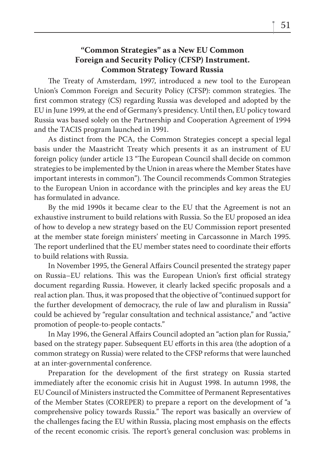### **"Common Strategies" as a New EU Common Foreign and Security Policy (CFSP) Instrument. Common Strategy Toward Russia**

The Treaty of Amsterdam, 1997, introduced a new tool to the European Union's Common Foreign and Security Policy (CFSP): common strategies. The first common strategy (CS) regarding Russia was developed and adopted by the EU in June 1999, at the end of Germany's presidency. Until then, EU policy toward Russia was based solely on the Partnership and Cooperation Agreement of 1994 and the TACIS program launched in 1991.

As distinct from the PCA, the Common Strategies concept a special legal basis under the Maastricht Treaty which presents it as an instrument of EU foreign policy (under article 13 "The European Council shall decide on common strategies to be implemented by the Union in areas where the Member States have important interests in common"). The Council recommends Common Strategies to the European Union in accordance with the principles and key areas the EU has formulated in advance.

By the mid 1990s it became clear to the EU that the Agreement is not an exhaustive instrument to build relations with Russia. So the EU proposed an idea of how to develop a new strategy based on the EU Commission report presented at the member state foreign ministers' meeting in Carcassonne in March 1995. The report underlined that the EU member states need to coordinate their efforts to build relations with Russia.

In November 1995, the General Affairs Council presented the strategy paper on Russia–EU relations. This was the European Union's first official strategy document regarding Russia. However, it clearly lacked specific proposals and a real action plan. Thus, it was proposed that the objective of "continued support for the further development of democracy, the rule of law and pluralism in Russia" could be achieved by "regular consultation and technical assistance," and "active promotion of people-to-people contacts."

In May 1996, the General Affairs Council adopted an "action plan for Russia," based on the strategy paper. Subsequent EU efforts in this area (the adoption of a common strategy on Russia) were related to the CFSP reforms that were launched at an inter-governmental conference.

Preparation for the development of the first strategy on Russia started immediately after the economic crisis hit in August 1998. In autumn 1998, the EU Council of Ministers instructed the Committee of Permanent Representatives of the Member States (COREPER) to prepare a report on the development of "a comprehensive policy towards Russia." The report was basically an overview of the challenges facing the EU within Russia, placing most emphasis on the effects of the recent economic crisis. The report's general conclusion was: problems in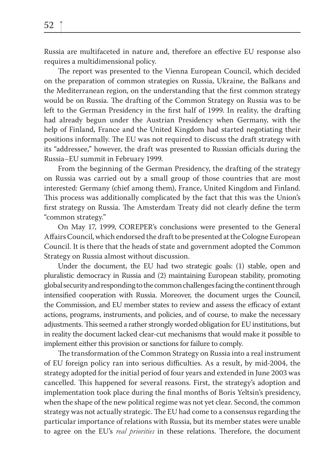Russia are multifaceted in nature and, therefore an effective EU response also requires a multidimensional policy.

The report was presented to the Vienna European Council, which decided on the preparation of common strategies on Russia, Ukraine, the Balkans and the Mediterranean region, on the understanding that the first common strategy would be on Russia. The drafting of the Common Strategy on Russia was to be left to the German Presidency in the first half of 1999. In reality, the drafting had already begun under the Austrian Presidency when Germany, with the help of Finland, France and the United Kingdom had started negotiating their positions informally. The EU was not required to discuss the draft strategy with its "addressee," however, the draft was presented to Russian officials during the Russia–EU summit in February 1999.

From the beginning of the German Presidency, the drafting of the strategy on Russia was carried out by a small group of those countries that are most interested: Germany (chief among them), France, United Kingdom and Finland. This process was additionally complicated by the fact that this was the Union's first strategy on Russia. The Amsterdam Treaty did not clearly define the term "common strategy."

On May 17, 1999, COREPER's conclusions were presented to the General Affairs Council, which endorsed the draft to be presented at the Cologne European Council. It is there that the heads of state and government adopted the Common Strategy on Russia almost without discussion.

Under the document, the EU had two strategic goals: (1) stable, open and pluralistic democracy in Russia and (2) maintaining European stability, promoting global security and responding to the common challenges facing the continent through intensified cooperation with Russia. Moreover, the document urges the Council, the Commission, and EU member states to review and assess the efficacy of extant actions, programs, instruments, and policies, and of course, to make the necessary adjustments. This seemed a rather strongly worded obligation for EU institutions, but in reality the document lacked clear-cut mechanisms that would make it possible to implement either this provision or sanctions for failure to comply.

The transformation of the Common Strategy on Russia into a real instrument of EU foreign policy ran into serious difficulties. As a result, by mid-2004, the strategy adopted for the initial period of four years and extended in June 2003 was cancelled. This happened for several reasons. First, the strategy's adoption and implementation took place during the final months of Boris Yeltsin's presidency, when the shape of the new political regime was not yet clear. Second, the common strategy was not actually strategic. The EU had come to a consensus regarding the particular importance of relations with Russia, but its member states were unable to agree on the EU's *real priorities* in these relations. Therefore, the document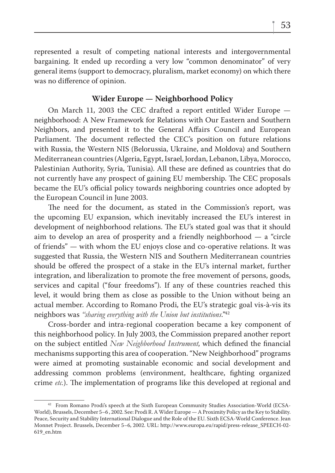represented a result of competing national interests and intergovernmental bargaining. It ended up recording a very low "common denominator" of very general items (support to democracy, pluralism, market economy) on which there was no difference of opinion.

#### **Wider Europe — Neighborhood Policy**

On March 11, 2003 the CEC drafted a report entitled Wider Europe neighborhood: A New Framework for Relations with Our Eastern and Southern Neighbors, and presented it to the General Affairs Council and European Parliament. The document reflected the CEC's position on future relations with Russia, the Western NIS (Belorussia, Ukraine, and Moldova) and Southern Mediterranean countries (Algeria, Egypt, Israel, Jordan, Lebanon, Libya, Morocco, Palestinian Authority, Syria, Tunisia). All these are defined as countries that do not currently have any prospect of gaining EU membership. The CEC proposals became the EU's official policy towards neighboring countries once adopted by the European Council in June 2003.

The need for the document, as stated in the Commission's report, was the upcoming EU expansion, which inevitably increased the EU's interest in development of neighborhood relations. The EU's stated goal was that it should aim to develop an area of prosperity and a friendly neighborhood — a "circle of friends" — with whom the EU enjoys close and co-operative relations. It was suggested that Russia, the Western NIS and Southern Mediterranean countries should be offered the prospect of a stake in the EU's internal market, further integration, and liberalization to promote the free movement of persons, goods, services and capital ("four freedoms"). If any of these countries reached this level, it would bring them as close as possible to the Union without being an actual member. According to Romano Prodi, the EU's strategic goal vis-à-vis its neighbors was *"sharing everything with the Union but institutions*."42

Cross-border and intra-regional cooperation became a key component of this neighborhood policy. In July 2003, the Commission prepared another report on the subject entitled *New Neighborhood Instrument*, which defined the financial mechanisms supporting this area of cooperation. "New Neighborhood" programs were aimed at promoting sustainable economic and social development and addressing common problems (environment, healthcare, fighting organized crime *etc.*). The implementation of programs like this developed at regional and

<sup>&</sup>lt;sup>42</sup> From Romano Prodi's speech at the Sixth European Community Studies Association-World (ECSA-World), Brussels, December 5–6 , 2002. See: Prodi R. A Wider Europe — A Proximity Policy as the Key to Stability. Peace, Security and Stability International Dialogue and the Role of the EU. Sixth ECSA-World Conference. Jean Monnet Project. Brussels, December 5–6, 2002. URL: http://www.europa.eu/rapid/press-release\_SPEECH-02- 619\_en.htm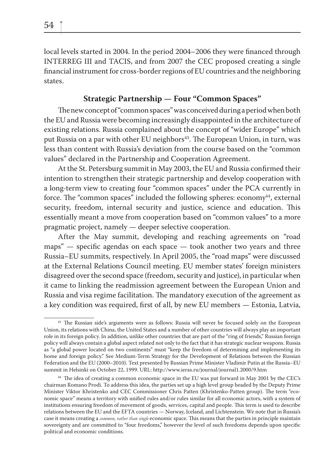local levels started in 2004. In the period 2004–2006 they were financed through INTERREG III and TACIS, and from 2007 the CEC proposed creating a single financial instrument for cross-border regions of EU countries and the neighboring states.

### **Strategic Partnership — Four "Common Spaces"**

The new concept of "common spaces" was conceived during a period when both the EU and Russia were becoming increasingly disappointed in the architecture of existing relations. Russia complained about the concept of "wider Europe" which put Russia on a par with other EU neighbors<sup>43</sup>. The European Union, in turn, was less than content with Russia's deviation from the course based on the "common values" declared in the Partnership and Cooperation Agreement.

At the St. Petersburg summit in May 2003, the EU and Russia confirmed their intention to strengthen their strategic partnership and develop cooperation with a long-term view to creating four "common spaces" under the PCA currently in force. The "common spaces" included the following spheres: economy $44$ , external security, freedom, internal security and justice, science and education. This essentially meant a move from cooperation based on "common values" to a more pragmatic project, namely — deeper selective cooperation.

After the May summit, developing and reaching agreements on "road  $maps'' - specific$  agendas on each space  $-$  took another two years and three Russia–EU summits, respectively. In April 2005, the "road maps" were discussed at the External Relations Council meeting. EU member states' foreign ministers disagreed over the second space (freedom, security and justice), in particular when it came to linking the readmission agreement between the European Union and Russia and visa regime facilitation. The mandatory execution of the agreement as a key condition was required, first of all, by new EU members — Estonia, Latvia,

<sup>&</sup>lt;sup>43</sup> The Russian side's arguments were as follows: Russia will never be focused solely on the European Union, its relations with China, the United States and a number of other countries will always play an important role in its foreign policy. In addition, unlike other countries that are part of the "ring of friends," Russian foreign policy will always contain a global aspect related not only to the fact that it has strategic nuclear weapons. Russia as "a global power located on two continents" must "keep the freedom of determining and implementing its home and foreign policy." See Medium-Term Strategy for the Development of Relations between the Russian Federation and the EU (2000–2010). Text presented by Russian Prime Minister Vladimir Putin at the Russia–EU summit in Helsinki on October 22, 1999. URL: http://www.ieras.ru/journal/journal1.2000/9.htm

<sup>&</sup>lt;sup>44</sup> The idea of creating a common economic space in the EU was put forward in May 2001 by the CEC's chairman Romano Prodi. To address this idea, the parties set up a high level group headed by the Deputy Prime Minister Viktor Khristenko and CEC Commissioner Chris Patten (Khristenko-Patten group). The term "economic space" means a territory with unified rules and/or rules similar for all economic actors, with a system of institutions ensuring freedom of movement of goods, services, capital and people. This term is used to describe relations between the EU and the EFTA countries — Norway, Iceland, and Lichtenstein. We note that in Russia's case it means creating a *common, rather than single* economic space. This means that the parties in principle maintain sovereignty and are committed to "four freedoms," however the level of such freedoms depends upon specific political and economic conditions.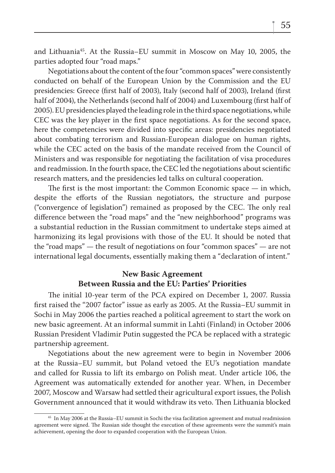and Lithuania45. At the Russia–EU summit in Moscow on May 10, 2005, the parties adopted four "road maps."

Negotiations about the content of the four "common spaces" were consistently conducted on behalf of the European Union by the Commission and the EU presidencies: Greece (first half of 2003), Italy (second half of 2003), Ireland (first half of 2004), the Netherlands (second half of 2004) and Luxembourg (first half of 2005). EU presidencies played the leading role in the third space negotiations, while CEC was the key player in the first space negotiations. As for the second space, here the competencies were divided into specific areas: presidencies negotiated about combating terrorism and Russian-European dialogue on human rights, while the CEC acted on the basis of the mandate received from the Council of Ministers and was responsible for negotiating the facilitation of visa procedures and readmission. In the fourth space, the CEC led the negotiations about scientific research matters, and the presidencies led talks on cultural cooperation.

The first is the most important: the Common Economic space  $-$  in which, despite the efforts of the Russian negotiators, the structure and purpose ("convergence of legislation") remained as proposed by the CEC. The only real difference between the "road maps" and the "new neighborhood" programs was a substantial reduction in the Russian commitment to undertake steps aimed at harmonizing its legal provisions with those of the EU. It should be noted that the "road maps" — the result of negotiations on four "common spaces" — are not international legal documents, essentially making them a "declaration of intent."

### **New Basic Agreement Between Russia and the EU: Parties' Priorities**

The initial 10-year term of the PCA expired on December 1, 2007. Russia first raised the "2007 factor" issue as early as 2005. At the Russia–EU summit in Sochi in May 2006 the parties reached a political agreement to start the work on new basic agreement. At an informal summit in Lahti (Finland) in October 2006 Russian President Vladimir Putin suggested the PCA be replaced with a strategic partnership agreement.

Negotiations about the new agreement were to begin in November 2006 at the Russia–EU summit, but Poland vetoed the EU's negotiation mandate and called for Russia to lift its embargo on Polish meat. Under article 106, the Agreement was automatically extended for another year. When, in December 2007, Moscow and Warsaw had settled their agricultural export issues, the Polish Government announced that it would withdraw its veto. Then Lithuania blocked

<sup>&</sup>lt;sup>45</sup> In May 2006 at the Russia–EU summit in Sochi the visa facilitation agreement and mutual readmission agreement were signed. The Russian side thought the execution of these agreements were the summit's main achievement, opening the door to expanded cooperation with the European Union.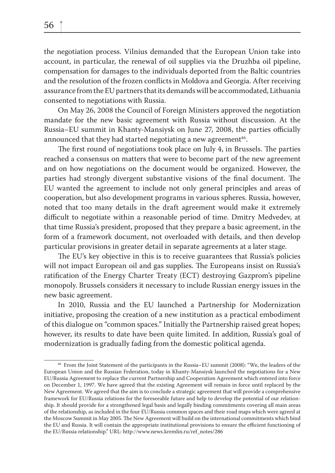the negotiation process. Vilnius demanded that the European Union take into account, in particular, the renewal of oil supplies via the Druzhba oil pipeline, compensation for damages to the individuals deported from the Baltic countries and the resolution of the frozen conflicts in Moldova and Georgia. After receiving assurance from the EU partners that its demands will be accommodated, Lithuania consented to negotiations with Russia.

On May 26, 2008 the Council of Foreign Ministers approved the negotiation mandate for the new basic agreement with Russia without discussion. At the Russia–EU summit in Khanty-Mansiysk on June 27, 2008, the parties officially announced that they had started negotiating a new agreement<sup>46</sup>.

The first round of negotiations took place on July 4, in Brussels. The parties reached a consensus on matters that were to become part of the new agreement and on how negotiations on the document would be organized. However, the parties had strongly divergent substantive visions of the final document. The EU wanted the agreement to include not only general principles and areas of cooperation, but also development programs in various spheres. Russia, however, noted that too many details in the draft agreement would make it extremely difficult to negotiate within a reasonable period of time. Dmitry Medvedev, at that time Russia's president, proposed that they prepare a basic agreement, in the form of a framework document, not overloaded with details, and then develop particular provisions in greater detail in separate agreements at a later stage.

The EU's key objective in this is to receive guarantees that Russia's policies will not impact European oil and gas supplies. The Europeans insist on Russia's ratification of the Energy Charter Treaty (ECT) destroying Gazprom's pipeline monopoly. Brussels considers it necessary to include Russian energy issues in the new basic agreement.

In 2010, Russia and the EU launched a Partnership for Modernization initiative, proposing the creation of a new institution as a practical embodiment of this dialogue on "common spaces." Initially the Partnership raised great hopes; however, its results to date have been quite limited. In addition, Russia's goal of modernization is gradually fading from the domestic political agenda.

<sup>46</sup> From the Joint Statement of the participants in the Russia–EU summit (2008): "We, the leaders of the European Union and the Russian Federation, today in Khanty-Mansiysk launched the negotiations for a New EU/Russia Agreement to replace the current Partnership and Cooperation Agreement which entered into force on December 1, 1997. We have agreed that the existing Agreement will remain in force until replaced by the New Agreement. We agreed that the aim is to conclude a strategic agreement that will provide a comprehensive framework for EU/Russia relations for the foreseeable future and help to develop the potential of our relationship. It should provide for a strengthened legal basis and legally binding commitments covering all main areas of the relationship, as included in the four EU/Russia common spaces and their road maps which were agreed at the Moscow Summit in May 2005. The New Agreement will build on the international commitments which bind the EU and Russia. It will contain the appropriate institutional provisions to ensure the efficient functioning of the EU/Russia relationship." URL: http://www.news.kremlin.ru/ref\_notes/286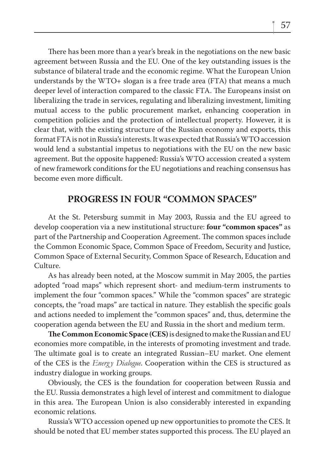There has been more than a year's break in the negotiations on the new basic agreement between Russia and the EU. One of the key outstanding issues is the substance of bilateral trade and the economic regime. What the European Union understands by the WTO+ slogan is a free trade area (FTA) that means a much deeper level of interaction compared to the classic FTA. The Europeans insist on liberalizing the trade in services, regulating and liberalizing investment, limiting mutual access to the public procurement market, enhancing cooperation in competition policies and the protection of intellectual property. However, it is clear that, with the existing structure of the Russian economy and exports, this format FTA is not in Russia's interests. It was expected that Russia's WTO accession would lend a substantial impetus to negotiations with the EU on the new basic agreement. But the opposite happened: Russia's WTO accession created a system of new framework conditions for the EU negotiations and reaching consensus has become even more difficult.

## **PROGRESS IN FOUR "COMMON SPACES"**

At the St. Petersburg summit in May 2003, Russia and the EU agreed to develop cooperation via a new institutional structure: **four "common spaces"** as part of the Partnership and Cooperation Agreement. The common spaces include the Common Economic Space, Common Space of Freedom, Security and Justice, Common Space of External Security, Common Space of Research, Education and Culture.

As has already been noted, at the Moscow summit in May 2005, the parties adopted "road maps" which represent short- and medium-term instruments to implement the four "common spaces." While the "common spaces" are strategic concepts, the "road maps" are tactical in nature. They establish the specific goals and actions needed to implement the "common spaces" and, thus, determine the cooperation agenda between the EU and Russia in the short and medium term.

**The Common Economic Space (CES)** is designed to make the Russian and EU economies more compatible, in the interests of promoting investment and trade. The ultimate goal is to create an integrated Russian–EU market. One element of the CES is the *Energ y Dialogue*. Cooperation within the CES is structured as industry dialogue in working groups.

Obviously, the CES is the foundation for cooperation between Russia and the EU. Russia demonstrates a high level of interest and commitment to dialogue in this area. The European Union is also considerably interested in expanding economic relations.

Russia's WTO accession opened up new opportunities to promote the CES. It should be noted that EU member states supported this process. The EU played an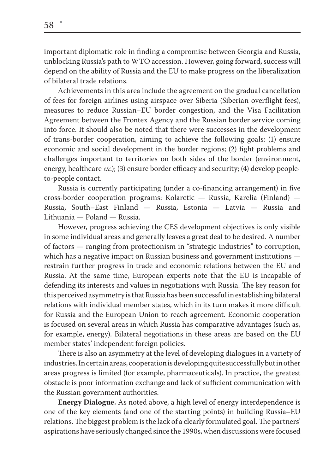important diplomatic role in finding a compromise between Georgia and Russia, unblocking Russia's path to WTO accession. However, going forward, success will depend on the ability of Russia and the EU to make progress on the liberalization of bilateral trade relations.

Achievements in this area include the agreement on the gradual cancellation of fees for foreign airlines using airspace over Siberia (Siberian overflight fees), measures to reduce Russian–EU border congestion, and the Visa Facilitation Agreement between the Frontex Agency and the Russian border service coming into force. It should also be noted that there were successes in the development of trans-border cooperation, aiming to achieve the following goals: (1) ensure economic and social development in the border regions; (2) fight problems and challenges important to territories on both sides of the border (environment, energy, healthcare *etc*.); (3) ensure border efficacy and security; (4) develop peopleto-people contact.

Russia is currently participating (under a co-financing arrangement) in five cross-border cooperation programs: Kolarctic — Russia, Karelia (Finland) — Russia, South–East Finland — Russia, Estonia — Latvia — Russia and Lithuania — Poland — Russia.

However, progress achieving the CES development objectives is only visible in some individual areas and generally leaves a great deal to be desired. A number of factors — ranging from protectionism in "strategic industries" to corruption, which has a negative impact on Russian business and government institutions restrain further progress in trade and economic relations between the EU and Russia. At the same time, European experts note that the EU is incapable of defending its interests and values in negotiations with Russia. The key reason for this perceived asymmetry is that Russia has been successful in establishing bilateral relations with individual member states, which in its turn makes it more difficult for Russia and the European Union to reach agreement. Economic cooperation is focused on several areas in which Russia has comparative advantages (such as, for example, energy). Bilateral negotiations in these areas are based on the EU member states' independent foreign policies.

There is also an asymmetry at the level of developing dialogues in a variety of industries. In certain areas, cooperation is developing quite successfully but in other areas progress is limited (for example, pharmaceuticals). In practice, the greatest obstacle is poor information exchange and lack of sufficient communication with the Russian government authorities.

**Energy Dialogue.** As noted above, a high level of energy interdependence is one of the key elements (and one of the starting points) in building Russia–EU relations. The biggest problem is the lack of a clearly formulated goal. The partners' aspirations have seriously changed since the 1990s, when discussions were focused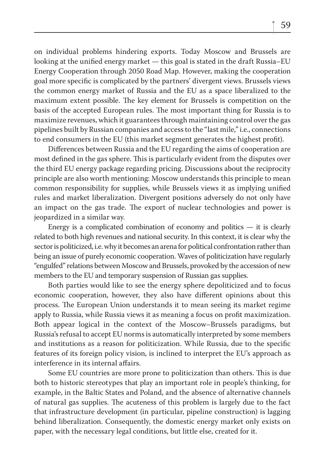on individual problems hindering exports. Today Moscow and Brussels are looking at the unified energy market — this goal is stated in the draft Russia–EU Energy Cooperation through 2050 Road Map. However, making the cooperation goal more specific is complicated by the partners' divergent views. Brussels views the common energy market of Russia and the EU as a space liberalized to the maximum extent possible. The key element for Brussels is competition on the basis of the accepted European rules. The most important thing for Russia is to maximize revenues, which it guarantees through maintaining control over the gas pipelines built by Russian companies and access to the "last mile," i.e., connections to end consumers in the EU (this market segment generates the highest profit).

Differences between Russia and the EU regarding the aims of cooperation are most defined in the gas sphere. This is particularly evident from the disputes over the third EU energy package regarding pricing. Discussions about the reciprocity principle are also worth mentioning: Moscow understands this principle to mean common responsibility for supplies, while Brussels views it as implying unified rules and market liberalization. Divergent positions adversely do not only have an impact on the gas trade. The export of nuclear technologies and power is jeopardized in a similar way.

Energy is a complicated combination of economy and politics  $-$  it is clearly related to both high revenues and national security. In this context, it is clear why the sector is politicized, i.e. why it becomes an arena for political confrontation rather than being an issue of purely economic cooperation. Waves of politicization have regularly "engulfed" relations between Moscow and Brussels, provoked by the accession of new members to the EU and temporary suspension of Russian gas supplies.

Both parties would like to see the energy sphere depoliticized and to focus economic cooperation, however, they also have different opinions about this process. The European Union understands it to mean seeing its market regime apply to Russia, while Russia views it as meaning a focus on profit maximization. Both appear logical in the context of the Moscow–Brussels paradigms, but Russia's refusal to accept EU norms is automatically interpreted by some members and institutions as a reason for politicization. While Russia, due to the specific features of its foreign policy vision, is inclined to interpret the EU's approach as interference in its internal affairs.

Some EU countries are more prone to politicization than others. This is due both to historic stereotypes that play an important role in people's thinking, for example, in the Baltic States and Poland, and the absence of alternative channels of natural gas supplies. The acuteness of this problem is largely due to the fact that infrastructure development (in particular, pipeline construction) is lagging behind liberalization. Consequently, the domestic energy market only exists on paper, with the necessary legal conditions, but little else, created for it.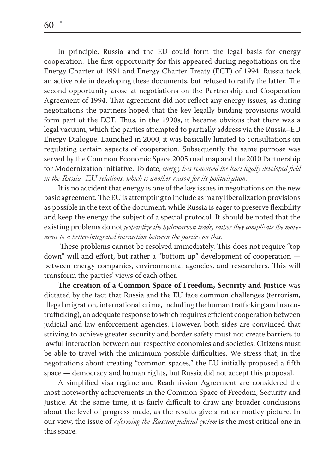In principle, Russia and the EU could form the legal basis for energy cooperation. The first opportunity for this appeared during negotiations on the Energy Charter of 1991 and Energy Charter Treaty (ECT) of 1994. Russia took an active role in developing these documents, but refused to ratify the latter. The second opportunity arose at negotiations on the Partnership and Cooperation Agreement of 1994. That agreement did not reflect any energy issues, as during negotiations the partners hoped that the key legally binding provisions would form part of the ECT. Thus, in the 1990s, it became obvious that there was a legal vacuum, which the parties attempted to partially address via the Russia–EU Energy Dialogue. Launched in 2000, it was basically limited to consultations on regulating certain aspects of cooperation. Subsequently the same purpose was served by the Common Economic Space 2005 road map and the 2010 Partnership for Modernization initiative. To date, *energy has remained the least legally developed field in the Russia–EU relations, which is another reason for its politicization.*

It is no accident that energy is one of the key issues in negotiations on the new basic agreement. The EU is attempting to include as many liberalization provisions as possible in the text of the document, while Russia is eager to preserve flexibility and keep the energy the subject of a special protocol. It should be noted that the existing problems do not *jeopardize the hydrocarbon trade, rather they complicate the movement to a better-integrated interaction between the parties on this.*

These problems cannot be resolved immediately. This does not require "top" down" will and effort, but rather a "bottom up" development of cooperation  $$ between energy companies, environmental agencies, and researchers. This will transform the parties' views of each other.

**The creation of a Common Space of Freedom, Security and Justice was** dictated by the fact that Russia and the EU face common challenges (terrorism, illegal migration, international crime, including the human trafficking and narcotrafficking), an adequate response to which requires efficient cooperation between judicial and law enforcement agencies. However, both sides are convinced that striving to achieve greater security and border safety must not create barriers to lawful interaction between our respective economies and societies. Citizens must be able to travel with the minimum possible difficulties. We stress that, in the negotiations about creating "common spaces," the EU initially proposed a fifth space — democracy and human rights, but Russia did not accept this proposal.

A simplified visa regime and Readmission Agreement are considered the most noteworthy achievements in the Common Space of Freedom, Security and Justice. At the same time, it is fairly difficult to draw any broader conclusions about the level of progress made, as the results give a rather motley picture. In our view, the issue of *reforming the Russian judicial system* is the most critical one in this space.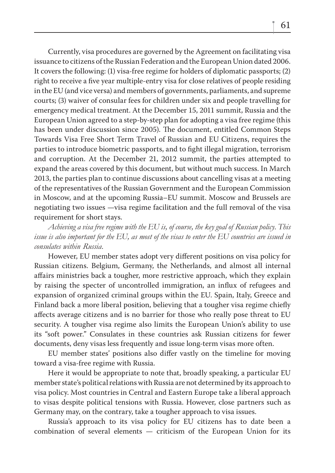Currently, visa procedures are governed by the Agreement on facilitating visa issuance to citizens of the Russian Federation and the European Union dated 2006. It covers the following: (1) visa-free regime for holders of diplomatic passports; (2) right to receive a five year multiple-entry visa for close relatives of people residing in the EU (and vice versa) and members of governments, parliaments, and supreme courts; (3) waiver of consular fees for children under six and people travelling for emergency medical treatment. At the December 15, 2011 summit, Russia and the European Union agreed to a step-by-step plan for adopting a visa free regime (this has been under discussion since 2005). The document, entitled Common Steps Towards Visa Free Short Term Travel of Russian and EU Citizens, requires the parties to introduce biometric passports, and to fight illegal migration, terrorism and corruption. At the December 21, 2012 summit, the parties attempted to expand the areas covered by this document, but without much success. In March 2013, the parties plan to continue discussions about cancelling visas at a meeting of the representatives of the Russian Government and the European Commission in Moscow, and at the upcoming Russia–EU summit. Moscow and Brussels are negotiating two issues —visa regime facilitation and the full removal of the visa requirement for short stays.

*Achieving a visa free regime with the EU is, of course, the key goal of Russian policy. This issue is also important for the EU, as most of the visas to enter the EU countries are issued in consulates within Russia.* 

However, EU member states adopt very different positions on visa policy for Russian citizens. Belgium, Germany, the Netherlands, and almost all internal affairs ministries back a tougher, more restrictive approach, which they explain by raising the specter of uncontrolled immigration, an influx of refugees and expansion of organized criminal groups within the EU. Spain, Italy, Greece and Finland back a more liberal position, believing that a tougher visa regime chiefly affects average citizens and is no barrier for those who really pose threat to EU security. A tougher visa regime also limits the European Union's ability to use its "soft power." Consulates in these countries ask Russian citizens for fewer documents, deny visas less frequently and issue long-term visas more often.

EU member states' positions also differ vastly on the timeline for moving toward a visa-free regime with Russia.

Here it would be appropriate to note that, broadly speaking, a particular EU member state's political relations with Russia are not determined by its approach to visa policy. Most countries in Central and Eastern Europe take a liberal approach to visas despite political tensions with Russia. However, close partners such as Germany may, on the contrary, take a tougher approach to visa issues.

Russia's approach to its visa policy for EU citizens has to date been a combination of several elements — criticism of the European Union for its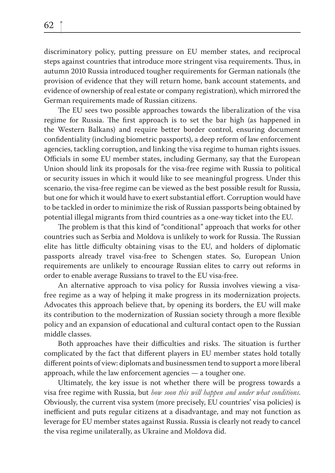discriminatory policy, putting pressure on EU member states, and reciprocal steps against countries that introduce more stringent visa requirements. Thus, in autumn 2010 Russia introduced tougher requirements for German nationals (the provision of evidence that they will return home, bank account statements, and evidence of ownership of real estate or company registration), which mirrored the German requirements made of Russian citizens.

The EU sees two possible approaches towards the liberalization of the visa regime for Russia. The first approach is to set the bar high (as happened in the Western Balkans) and require better border control, ensuring document confidentiality (including biometric passports), a deep reform of law enforcement agencies, tackling corruption, and linking the visa regime to human rights issues. Officials in some EU member states, including Germany, say that the European Union should link its proposals for the visa-free regime with Russia to political or security issues in which it would like to see meaningful progress. Under this scenario, the visa-free regime can be viewed as the best possible result for Russia, but one for which it would have to exert substantial effort. Corruption would have to be tackled in order to minimize the risk of Russian passports being obtained by potential illegal migrants from third countries as a one-way ticket into the EU.

The problem is that this kind of "conditional" approach that works for other countries such as Serbia and Moldova is unlikely to work for Russia. The Russian elite has little difficulty obtaining visas to the EU, and holders of diplomatic passports already travel visa-free to Schengen states. So, European Union requirements are unlikely to encourage Russian elites to carry out reforms in order to enable average Russians to travel to the EU visa-free.

An alternative approach to visa policy for Russia involves viewing a visafree regime as a way of helping it make progress in its modernization projects. Advocates this approach believe that, by opening its borders, the EU will make its contribution to the modernization of Russian society through a more flexible policy and an expansion of educational and cultural contact open to the Russian middle classes.

Both approaches have their difficulties and risks. The situation is further complicated by the fact that different players in EU member states hold totally different points of view: diplomats and businessmen tend to support a more liberal approach, while the law enforcement agencies — a tougher one.

Ultimately, the key issue is not whether there will be progress towards a visa free regime with Russia, but *how soon this will happen and under what conditions*. Obviously, the current visa system (more precisely, EU countries' visa policies) is inefficient and puts regular citizens at a disadvantage, and may not function as leverage for EU member states against Russia. Russia is clearly not ready to cancel the visa regime unilaterally, as Ukraine and Moldova did.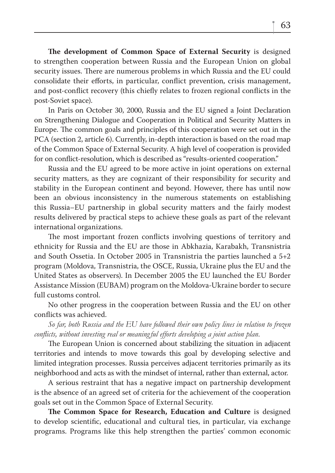**The development of Common Space of External Security** is designed to strengthen cooperation between Russia and the European Union on global security issues. There are numerous problems in which Russia and the EU could consolidate their efforts, in particular, conflict prevention, crisis management, and post-conflict recovery (this chiefly relates to frozen regional conflicts in the post-Soviet space).

In Paris on October 30, 2000, Russia and the EU signed a Joint Declaration on Strengthening Dialogue and Cooperation in Political and Security Matters in Europe. The common goals and principles of this cooperation were set out in the PCA (section 2, article 6). Currently, in-depth interaction is based on the road map of the Common Space of External Security. A high level of cooperation is provided for on conflict-resolution, which is described as "results-oriented cooperation."

Russia and the EU agreed to be more active in joint operations on external security matters, as they are cognizant of their responsibility for security and stability in the European continent and beyond. However, there has until now been an obvious inconsistency in the numerous statements on establishing this Russia–EU partnership in global security matters and the fairly modest results delivered by practical steps to achieve these goals as part of the relevant international organizations.

The most important frozen conflicts involving questions of territory and ethnicity for Russia and the EU are those in Abkhazia, Karabakh, Transnistria and South Ossetia. In October 2005 in Transnistria the parties launched a 5+2 program (Moldova, Transnistria, the OSCE, Russia, Ukraine plus the EU and the United States as observers). In December 2005 the EU launched the EU Border Assistance Mission (EUBAM) program on the Moldova-Ukraine border to secure full customs control.

No other progress in the cooperation between Russia and the EU on other conflicts was achieved.

*So far, both Russia and the EU have followed their own policy lines in relation to frozen confl icts, without investing real or meaningful efforts developing a joint action plan.*

The European Union is concerned about stabilizing the situation in adjacent territories and intends to move towards this goal by developing selective and limited integration processes. Russia perceives adjacent territories primarily as its neighborhood and acts as with the mindset of internal, rather than external, actor.

A serious restraint that has a negative impact on partnership development is the absence of an agreed set of criteria for the achievement of the cooperation goals set out in the Common Space of External Security.

**The Common Space for Research, Education and Culture** is designed to develop scientific, educational and cultural ties, in particular, via exchange programs. Programs like this help strengthen the parties' common economic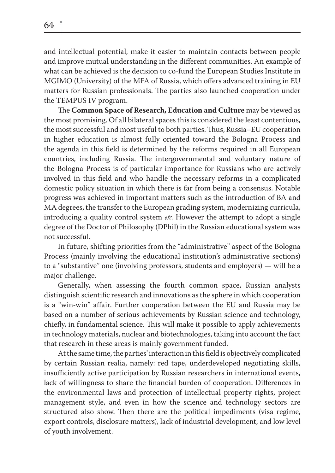and intellectual potential, make it easier to maintain contacts between people and improve mutual understanding in the different communities. An example of what can be achieved is the decision to co-fund the European Studies Institute in MGIMO (University) of the MFA of Russia, which offers advanced training in EU matters for Russian professionals. The parties also launched cooperation under the TEMPUS IV program.

The **Common Space of Research, Education and Culture** may be viewed as the most promising. Of all bilateral spaces this is considered the least contentious, the most successful and most useful to both parties. Thus, Russia–EU cooperation in higher education is almost fully oriented toward the Bologna Process and the agenda in this field is determined by the reforms required in all European countries, including Russia. The intergovernmental and voluntary nature of the Bologna Process is of particular importance for Russians who are actively involved in this field and who handle the necessary reforms in a complicated domestic policy situation in which there is far from being a consensus. Notable progress was achieved in important matters such as the introduction of BA and MA degrees, the transfer to the European grading system, modernizing curricula, introducing a quality control system *etc*. However the attempt to adopt a single degree of the Doctor of Philosophy (DPhil) in the Russian educational system was not successful.

In future, shifting priorities from the "administrative" aspect of the Bologna Process (mainly involving the educational institution's administrative sections) to a "substantive" one (involving professors, students and employers) — will be a major challenge.

Generally, when assessing the fourth common space, Russian analysts distinguish scientific research and innovations as the sphere in which cooperation is a "win-win" affair. Further cooperation between the EU and Russia may be based on a number of serious achievements by Russian science and technology, chiefly, in fundamental science. This will make it possible to apply achievements in technology materials, nuclear and biotechnologies, taking into account the fact that research in these areas is mainly government funded.

At the same time, the parties' interaction in this field is objectively complicated by certain Russian realia, namely: red tape, underdeveloped negotiating skills, insufficiently active participation by Russian researchers in international events, lack of willingness to share the financial burden of cooperation. Differences in the environmental laws and protection of intellectual property rights, project management style, and even in how the science and technology sectors are structured also show. Then there are the political impediments (visa regime, export controls, disclosure matters), lack of industrial development, and low level of youth involvement.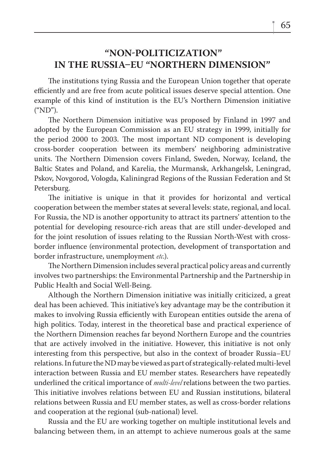## **"NONPOLITICIZATION" IN THE RUSSIA-EU "NORTHERN DIMENSION"**

The institutions tying Russia and the European Union together that operate efficiently and are free from acute political issues deserve special attention. One example of this kind of institution is the EU's Northern Dimension initiative ("ND").

The Northern Dimension initiative was proposed by Finland in 1997 and adopted by the European Commission as an EU strategy in 1999, initially for the period 2000 to 2003. The most important ND component is developing cross-border cooperation between its members' neighboring administrative units. The Northern Dimension covers Finland, Sweden, Norway, Iceland, the Baltic States and Poland, and Karelia, the Murmansk, Arkhangelsk, Leningrad, Pskov, Novgorod, Vologda, Kaliningrad Regions of the Russian Federation and St Petersburg.

The initiative is unique in that it provides for horizontal and vertical cooperation between the member states at several levels: state, regional, and local. For Russia, the ND is another opportunity to attract its partners' attention to the potential for developing resource-rich areas that are still under-developed and for the joint resolution of issues relating to the Russian North-West with crossborder influence (environmental protection, development of transportation and border infrastructure, unemployment *etc*.).

The Northern Dimension includes several practical policy areas and currently involves two partnerships: the Environmental Partnership and the Partnership in Public Health and Social Well-Being.

Although the Northern Dimension initiative was initially criticized, a great deal has been achieved. This initiative's key advantage may be the contribution it makes to involving Russia efficiently with European entities outside the arena of high politics. Today, interest in the theoretical base and practical experience of the Northern Dimension reaches far beyond Northern Europe and the countries that are actively involved in the initiative. However, this initiative is not only interesting from this perspective, but also in the context of broader Russia–EU relations. In future the ND may be viewed as part of strategically-related multi-level interaction between Russia and EU member states. Researchers have repeatedly underlined the critical importance of *multi-level* relations between the two parties. This initiative involves relations between EU and Russian institutions, bilateral relations between Russia and EU member states, as well as cross-border relations and cooperation at the regional (sub-national) level.

Russia and the EU are working together on multiple institutional levels and balancing between them, in an attempt to achieve numerous goals at the same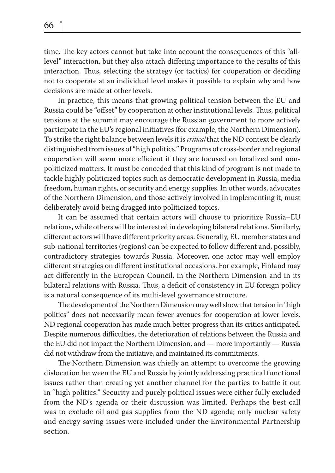time. The key actors cannot but take into account the consequences of this "alllevel" interaction, but they also attach differing importance to the results of this interaction. Thus, selecting the strategy (or tactics) for cooperation or deciding not to cooperate at an individual level makes it possible to explain why and how decisions are made at other levels.

In practice, this means that growing political tension between the EU and Russia could be "offset" by cooperation at other institutional levels. Thus, political tensions at the summit may encourage the Russian government to more actively participate in the EU's regional initiatives (for example, the Northern Dimension). To strike the right balance between levels it is *critical* that the ND context be clearly distinguished from issues of "high politics." Programs of cross-border and regional cooperation will seem more efficient if they are focused on localized and nonpoliticized matters. It must be conceded that this kind of program is not made to tackle highly politicized topics such as democratic development in Russia, media freedom, human rights, or security and energy supplies. In other words, advocates of the Northern Dimension, and those actively involved in implementing it, must deliberately avoid being dragged into politicized topics.

It can be assumed that certain actors will choose to prioritize Russia–EU relations, while others will be interested in developing bilateral relations. Similarly, different actors will have different priority areas. Generally, EU member states and sub-national territories (regions) can be expected to follow different and, possibly, contradictory strategies towards Russia. Moreover, one actor may well employ different strategies on different institutional occasions. For example, Finland may act differently in the European Council, in the Northern Dimension and in its bilateral relations with Russia. Thus, a deficit of consistency in EU foreign policy is a natural consequence of its multi-level governance structure.

The development of the Northern Dimension may well show that tension in "high politics" does not necessarily mean fewer avenues for cooperation at lower levels. ND regional cooperation has made much better progress than its critics anticipated. Despite numerous difficulties, the deterioration of relations between the Russia and the EU did not impact the Northern Dimension, and — more importantly — Russia did not withdraw from the initiative, and maintained its commitments.

The Northern Dimension was chiefly an attempt to overcome the growing dislocation between the EU and Russia by jointly addressing practical functional issues rather than creating yet another channel for the parties to battle it out in "high politics." Security and purely political issues were either fully excluded from the ND's agenda or their discussion was limited. Perhaps the best call was to exclude oil and gas supplies from the ND agenda; only nuclear safety and energy saving issues were included under the Environmental Partnership section.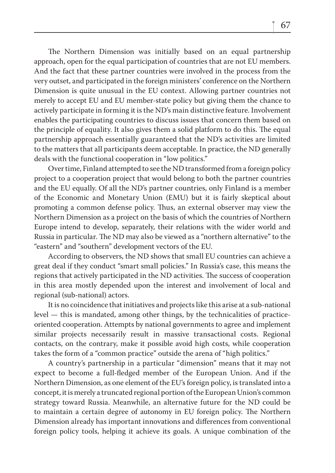The Northern Dimension was initially based on an equal partnership approach, open for the equal participation of countries that are not EU members. And the fact that these partner countries were involved in the process from the very outset, and participated in the foreign ministers' conference on the Northern Dimension is quite unusual in the EU context. Allowing partner countries not merely to accept EU and EU member-state policy but giving them the chance to actively participate in forming it is the ND's main distinctive feature. Involvement enables the participating countries to discuss issues that concern them based on the principle of equality. It also gives them a solid platform to do this. The equal partnership approach essentially guaranteed that the ND's activities are limited to the matters that all participants deem acceptable. In practice, the ND generally deals with the functional cooperation in "low politics."

Over time, Finland attempted to see the ND transformed from a foreign policy project to a cooperation project that would belong to both the partner countries and the EU equally. Of all the ND's partner countries, only Finland is a member of the Economic and Monetary Union (EMU) but it is fairly skeptical about promoting a common defense policy. Thus, an external observer may view the Northern Dimension as a project on the basis of which the countries of Northern Europe intend to develop, separately, their relations with the wider world and Russia in particular. The ND may also be viewed as a "northern alternative" to the "eastern" and "southern" development vectors of the EU.

According to observers, the ND shows that small EU countries can achieve a great deal if they conduct "smart small policies." In Russia's case, this means the regions that actively participated in the ND activities. The success of cooperation in this area mostly depended upon the interest and involvement of local and regional (sub-national) actors.

It is no coincidence that initiatives and projects like this arise at a sub-national level — this is mandated, among other things, by the technicalities of practiceoriented cooperation. Attempts by national governments to agree and implement similar projects necessarily result in massive transactional costs. Regional contacts, on the contrary, make it possible avoid high costs, while cooperation takes the form of a "common practice" outside the arena of "high politics."

A country's partnership in a particular "dimension" means that it may not expect to become a full-fledged member of the European Union. And if the Northern Dimension, as one element of the EU's foreign policy, is translated into a concept, it is merely a truncated regional portion of the European Union's common strategy toward Russia. Meanwhile, an alternative future for the ND could be to maintain a certain degree of autonomy in EU foreign policy. The Northern Dimension already has important innovations and differences from conventional foreign policy tools, helping it achieve its goals. A unique combination of the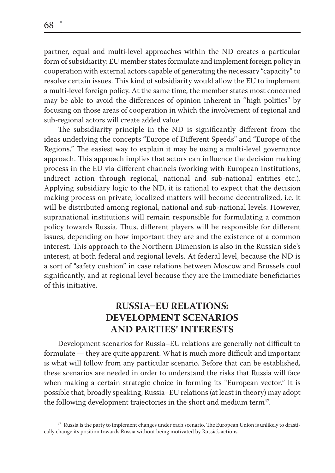partner, equal and multi-level approaches within the ND creates a particular form of subsidiarity: EU member states formulate and implement foreign policy in cooperation with external actors capable of generating the necessary "capacity" to resolve certain issues. This kind of subsidiarity would allow the EU to implement a multi-level foreign policy. At the same time, the member states most concerned may be able to avoid the differences of opinion inherent in "high politics" by focusing on those areas of cooperation in which the involvement of regional and sub-regional actors will create added value.

The subsidiarity principle in the ND is significantly different from the ideas underlying the concepts "Europe of Different Speeds" and "Europe of the Regions." The easiest way to explain it may be using a multi-level governance approach. This approach implies that actors can influence the decision making process in the EU via different channels (working with European institutions, indirect action through regional, national and sub-national entities etc.). Applying subsidiary logic to the ND, it is rational to expect that the decision making process on private, localized matters will become decentralized, i.e. it will be distributed among regional, national and sub-national levels. However, supranational institutions will remain responsible for formulating a common policy towards Russia. Thus, different players will be responsible for different issues, depending on how important they are and the existence of a common interest. This approach to the Northern Dimension is also in the Russian side's interest, at both federal and regional levels. At federal level, because the ND is a sort of "safety cushion" in case relations between Moscow and Brussels cool significantly, and at regional level because they are the immediate beneficiaries of this initiative.

## **RUSSIAEU RELATIONS: DEVELOPMENT SCENARIOS AND PARTIES' INTERESTS**

Development scenarios for Russia–EU relations are generally not difficult to formulate  $-$  they are quite apparent. What is much more difficult and important is what will follow from any particular scenario. Before that can be established, these scenarios are needed in order to understand the risks that Russia will face when making a certain strategic choice in forming its "European vector." It is possible that, broadly speaking, Russia–EU relations (at least in theory) may adopt the following development trajectories in the short and medium term<sup>47</sup>.

<sup>&</sup>lt;sup>47</sup> Russia is the party to implement changes under each scenario. The European Union is unlikely to drastically change its position towards Russia without being motivated by Russia's actions.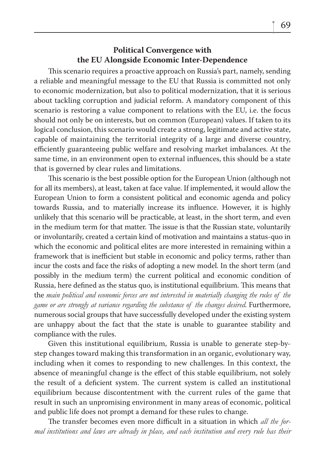### **Political Convergence with the EU Alongside Economic Inter-Dependence**

This scenario requires a proactive approach on Russia's part, namely, sending a reliable and meaningful message to the EU that Russia is committed not only to economic modernization, but also to political modernization, that it is serious about tackling corruption and judicial reform. A mandatory component of this scenario is restoring a value component to relations with the EU, i.e. the focus should not only be on interests, but on common (European) values. If taken to its logical conclusion, this scenario would create a strong, legitimate and active state, capable of maintaining the territorial integrity of a large and diverse country, efficiently guaranteeing public welfare and resolving market imbalances. At the same time, in an environment open to external influences, this should be a state that is governed by clear rules and limitations.

This scenario is the best possible option for the European Union (although not for all its members), at least, taken at face value. If implemented, it would allow the European Union to form a consistent political and economic agenda and policy towards Russia, and to materially increase its influence. However, it is highly unlikely that this scenario will be practicable, at least, in the short term, and even in the medium term for that matter. The issue is that the Russian state, voluntarily or involuntarily, created a certain kind of motivation and maintains a status-quo in which the economic and political elites are more interested in remaining within a framework that is inefficient but stable in economic and policy terms, rather than incur the costs and face the risks of adopting a new model. In the short term (and possibly in the medium term) the current political and economic condition of Russia, here defined as the status quo, is institutional equilibrium. This means that the *main political and economic forces are not interested in materially changing the rules of the game or are strongly at variance regarding the substance of the changes desired*. Furthermore, numerous social groups that have successfully developed under the existing system are unhappy about the fact that the state is unable to guarantee stability and compliance with the rules.

Given this institutional equilibrium, Russia is unable to generate step-bystep changes toward making this transformation in an organic, evolutionary way, including when it comes to responding to new challenges. In this context, the absence of meaningful change is the effect of this stable equilibrium, not solely the result of a deficient system. The current system is called an institutional equilibrium because discontentment with the current rules of the game that result in such an unpromising environment in many areas of economic, political and public life does not prompt a demand for these rules to change.

The transfer becomes even more difficult in a situation in which *all the formal institutions and laws are already in place, and each institution and every rule has their*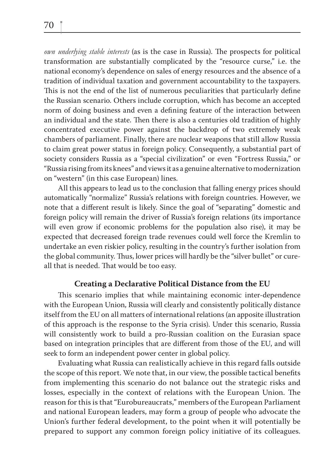*own underlying stable interests* (as is the case in Russia). The prospects for political transformation are substantially complicated by the "resource curse," i.e. the national economy's dependence on sales of energy resources and the absence of a tradition of individual taxation and government accountability to the taxpayers. This is not the end of the list of numerous peculiarities that particularly define the Russian scenario. Others include corruption, which has become an accepted norm of doing business and even a defining feature of the interaction between an individual and the state. Then there is also a centuries old tradition of highly concentrated executive power against the backdrop of two extremely weak chambers of parliament. Finally, there are nuclear weapons that still allow Russia to claim great power status in foreign policy. Consequently, a substantial part of society considers Russia as a "special civilization" or even "Fortress Russia," or "Russia rising from its knees" and views it as a genuine alternative to modernization on "western" (in this case European) lines.

All this appears to lead us to the conclusion that falling energy prices should automatically "normalize" Russia's relations with foreign countries. However, we note that a different result is likely. Since the goal of "separating" domestic and foreign policy will remain the driver of Russia's foreign relations (its importance will even grow if economic problems for the population also rise), it may be expected that decreased foreign trade revenues could well force the Kremlin to undertake an even riskier policy, resulting in the country's further isolation from the global community. Thus, lower prices will hardly be the "silver bullet" or cureall that is needed. That would be too easy.

### **Creating a Declarative Political Distance from the EU**

This scenario implies that while maintaining economic inter-dependence with the European Union, Russia will clearly and consistently politically distance itself from the EU on all matters of international relations (an apposite illustration of this approach is the response to the Syria crisis). Under this scenario, Russia will consistently work to build a pro-Russian coalition on the Eurasian space based on integration principles that are different from those of the EU, and will seek to form an independent power center in global policy.

Evaluating what Russia can realistically achieve in this regard falls outside the scope of this report. We note that, in our view, the possible tactical benefits from implementing this scenario do not balance out the strategic risks and losses, especially in the context of relations with the European Union. The reason for this is that "Eurobureaucrats," members of the European Parliament and national European leaders, may form a group of people who advocate the Union's further federal development, to the point when it will potentially be prepared to support any common foreign policy initiative of its colleagues.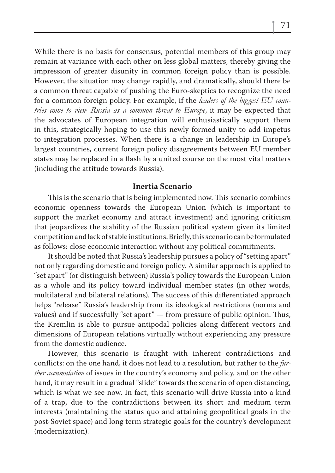While there is no basis for consensus, potential members of this group may remain at variance with each other on less global matters, thereby giving the impression of greater disunity in common foreign policy than is possible. However, the situation may change rapidly, and dramatically, should there be a common threat capable of pushing the Euro-skeptics to recognize the need for a common foreign policy. For example, if the *leaders of the biggest EU countries come to view Russia as a common threat to Europe*, it may be expected that the advocates of European integration will enthusiastically support them in this, strategically hoping to use this newly formed unity to add impetus to integration processes. When there is a change in leadership in Europe's largest countries, current foreign policy disagreements between EU member states may be replaced in a flash by a united course on the most vital matters (including the attitude towards Russia).

#### **Inertia Scenario**

This is the scenario that is being implemented now. This scenario combines economic openness towards the European Union (which is important to support the market economy and attract investment) and ignoring criticism that jeopardizes the stability of the Russian political system given its limited competition and lack of stable institutions. Briefly, this scenario can be formulated as follows: close economic interaction without any political commitments.

It should be noted that Russia's leadership pursues a policy of "setting apart" not only regarding domestic and foreign policy. A similar approach is applied to "set apart" (or distinguish between) Russia's policy towards the European Union as a whole and its policy toward individual member states (in other words, multilateral and bilateral relations). The success of this differentiated approach helps "release" Russia's leadership from its ideological restrictions (norms and values) and if successfully "set apart"  $-$  from pressure of public opinion. Thus, the Kremlin is able to pursue antipodal policies along different vectors and dimensions of European relations virtually without experiencing any pressure from the domestic audience.

However, this scenario is fraught with inherent contradictions and conflicts: on the one hand, it does not lead to a resolution, but rather to the *further accumulation* of issues in the country's economy and policy, and on the other hand, it may result in a gradual "slide" towards the scenario of open distancing, which is what we see now. In fact, this scenario will drive Russia into a kind of a trap, due to the contradictions between its short and medium term interests (maintaining the status quo and attaining geopolitical goals in the post-Soviet space) and long term strategic goals for the country's development (modernization).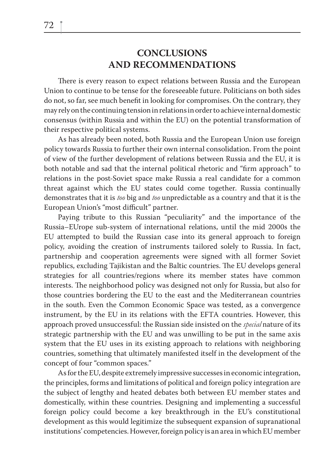## **CONCLUSIONS AND RECOMMENDATIONS**

There is every reason to expect relations between Russia and the European Union to continue to be tense for the foreseeable future. Politicians on both sides do not, so far, see much benefit in looking for compromises. On the contrary, they may rely on the continuing tension in relations in order to achieve internal domestic consensus (within Russia and within the EU) on the potential transformation of their respective political systems.

As has already been noted, both Russia and the European Union use foreign policy towards Russia to further their own internal consolidation. From the point of view of the further development of relations between Russia and the EU, it is both notable and sad that the internal political rhetoric and "firm approach" to relations in the post-Soviet space make Russia a real candidate for a common threat against which the EU states could come together. Russia continually demonstrates that it is *too* big and *too* unpredictable as a country and that it is the European Union's "most difficult" partner.

Paying tribute to this Russian "peculiarity" and the importance of the Russia–EUrope sub-system of international relations, until the mid 2000s the EU attempted to build the Russian case into its general approach to foreign policy, avoiding the creation of instruments tailored solely to Russia. In fact, partnership and cooperation agreements were signed with all former Soviet republics, excluding Tajikistan and the Baltic countries. The EU develops general strategies for all countries/regions where its member states have common interests. The neighborhood policy was designed not only for Russia, but also for those countries bordering the EU to the east and the Mediterranean countries in the south. Even the Common Economic Space was tested, as a convergence instrument, by the EU in its relations with the EFTA countries. However, this approach proved unsuccessful: the Russian side insisted on the *special* nature of its strategic partnership with the EU and was unwilling to be put in the same axis system that the EU uses in its existing approach to relations with neighboring countries, something that ultimately manifested itself in the development of the concept of four "common spaces."

As for the EU, despite extremely impressive successes in economic integration, the principles, forms and limitations of political and foreign policy integration are the subject of lengthy and heated debates both between EU member states and domestically, within these countries. Designing and implementing a successful foreign policy could become a key breakthrough in the EU's constitutional development as this would legitimize the subsequent expansion of supranational institutions' competencies. However, foreign policy is an area in which EU member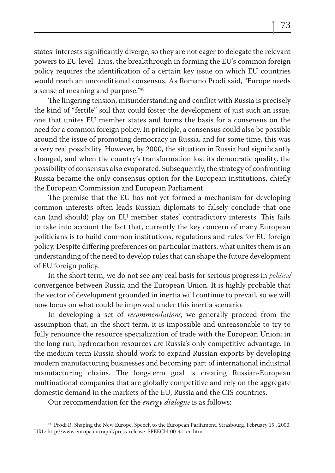states' interests significantly diverge, so they are not eager to delegate the relevant powers to EU level. Thus, the breakthrough in forming the EU's common foreign policy requires the identification of a certain key issue on which EU countries would reach an unconditional consensus. As Romano Prodi said, "Europe needs a sense of meaning and purpose."48

The lingering tension, misunderstanding and conflict with Russia is precisely the kind of "fertile" soil that could foster the development of just such an issue, one that unites EU member states and forms the basis for a consensus on the need for a common foreign policy. In principle, a consensus could also be possible around the issue of promoting democracy in Russia, and for some time, this was a very real possibility. However, by 2000, the situation in Russia had significantly changed, and when the country's transformation lost its democratic quality, the possibility of consensus also evaporated. Subsequently, the strategy of confronting Russia became the only consensus option for the European institutions, chiefly the European Commission and European Parliament.

The premise that the EU has not yet formed a mechanism for developing common interests often leads Russian diplomats to falsely conclude that one can (and should) play on EU member states' contradictory interests. This fails to take into account the fact that, currently the key concern of many European politicians is to build common institutions, regulations and rules for EU foreign policy. Despite differing preferences on particular matters, what unites them is an understanding of the need to develop rules that can shape the future development of EU foreign policy.

In the short term, we do not see any real basis for serious progress in *political* convergence between Russia and the European Union. It is highly probable that the vector of development grounded in inertia will continue to prevail, so we will now focus on what could be improved under this inertia scenario.

In developing a set of *recommendations*, we generally proceed from the assumption that, in the short term, it is impossible and unreasonable to try to fully renounce the resource specialization of trade with the European Union; in the long run, hydrocarbon resources are Russia's only competitive advantage. In the medium term Russia should work to expand Russian exports by developing modern manufacturing businesses and becoming part of international industrial manufacturing chains. The long-term goal is creating Russian-European multinational companies that are globally competitive and rely on the aggregate domestic demand in the markets of the EU, Russia and the CIS countries.

Our recommendation for the *energy dialogue* is as follows:

<sup>48</sup> Prodi R. Shaping the New Europe. Speech to the European Parliament. Strasbourg, February 15 , 2000. URL: http://www.europa.eu/rapid/press-release\_SPEECH-00-41\_en.htm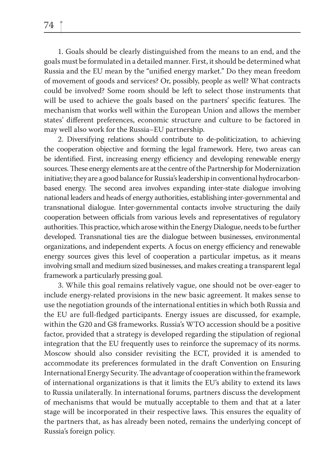1. Goals should be clearly distinguished from the means to an end, and the goals must be formulated in a detailed manner. First, it should be determined what Russia and the EU mean by the "unified energy market." Do they mean freedom of movement of goods and services? Or, possibly, people as well? What contracts could be involved? Some room should be left to select those instruments that will be used to achieve the goals based on the partners' specific features. The mechanism that works well within the European Union and allows the member states' different preferences, economic structure and culture to be factored in may well also work for the Russia–EU partnership.

2. Diversifying relations should contribute to de-politicization, to achieving the cooperation objective and forming the legal framework. Here, two areas can be identified. First, increasing energy efficiency and developing renewable energy sources. These energy elements are at the centre of the Partnership for Modernization initiative; they are a good balance for Russia's leadership in conventional hydrocarbonbased energy. The second area involves expanding inter-state dialogue involving national leaders and heads of energy authorities, establishing inter-governmental and transnational dialogue. Inter-governmental contacts involve structuring the daily cooperation between officials from various levels and representatives of regulatory authorities. This practice, which arose within the Energy Dialogue, needs to be further developed. Transnational ties are the dialogue between businesses, environmental organizations, and independent experts. A focus on energy efficiency and renewable energy sources gives this level of cooperation a particular impetus, as it means involving small and medium sized businesses, and makes creating a transparent legal framework a particularly pressing goal.

3. While this goal remains relatively vague, one should not be over-eager to include energy-related provisions in the new basic agreement. It makes sense to use the negotiation grounds of the international entities in which both Russia and the EU are full-fledged participants. Energy issues are discussed, for example, within the G20 and G8 frameworks. Russia's WTO accession should be a positive factor, provided that a strategy is developed regarding the stipulation of regional integration that the EU frequently uses to reinforce the supremacy of its norms. Moscow should also consider revisiting the ECT, provided it is amended to accommodate its preferences formulated in the draft Convention on Ensuring International Energy Security. The advantage of cooperation within the framework of international organizations is that it limits the EU's ability to extend its laws to Russia unilaterally. In international forums, partners discuss the development of mechanisms that would be mutually acceptable to them and that at a later stage will be incorporated in their respective laws. This ensures the equality of the partners that, as has already been noted, remains the underlying concept of Russia's foreign policy.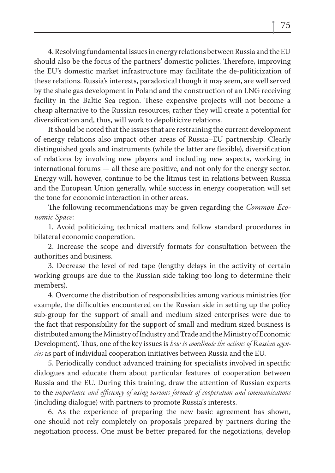4. Resolving fundamental issues in energy relations between Russia and the EU should also be the focus of the partners' domestic policies. Therefore, improving the EU's domestic market infrastructure may facilitate the de-politicization of these relations. Russia's interests, paradoxical though it may seem, are well served by the shale gas development in Poland and the construction of an LNG receiving facility in the Baltic Sea region. These expensive projects will not become a cheap alternative to the Russian resources, rather they will create a potential for diversification and, thus, will work to depoliticize relations.

It should be noted that the issues that are restraining the current development of energy relations also impact other areas of Russia–EU partnership. Clearly distinguished goals and instruments (while the latter are flexible), diversification of relations by involving new players and including new aspects, working in international forums — all these are positive, and not only for the energy sector. Energy will, however, continue to be the litmus test in relations between Russia and the European Union generally, while success in energy cooperation will set the tone for economic interaction in other areas.

The following recommendations may be given regarding the *Common Economic Space*:

1. Avoid politicizing technical matters and follow standard procedures in bilateral economic cooperation.

2. Increase the scope and diversify formats for consultation between the authorities and business.

3. Decrease the level of red tape (lengthy delays in the activity of certain working groups are due to the Russian side taking too long to determine their members).

4. Overcome the distribution of responsibilities among various ministries (for example, the difficulties encountered on the Russian side in setting up the policy sub-group for the support of small and medium sized enterprises were due to the fact that responsibility for the support of small and medium sized business is distributed among the Ministry of Industry and Trade and the Ministry of Economic Development). Thus, one of the key issues is *how to coordinate the actions of Russian agencies* as part of individual cooperation initiatives between Russia and the EU.

5. Periodically conduct advanced training for specialists involved in specific dialogues and educate them about particular features of cooperation between Russia and the EU. During this training, draw the attention of Russian experts to the *importance and efficiency of using various formats of cooperation and communications* (including dialogue) with partners to promote Russia's interests.

6. As the experience of preparing the new basic agreement has shown, one should not rely completely on proposals prepared by partners during the negotiation process. One must be better prepared for the negotiations, develop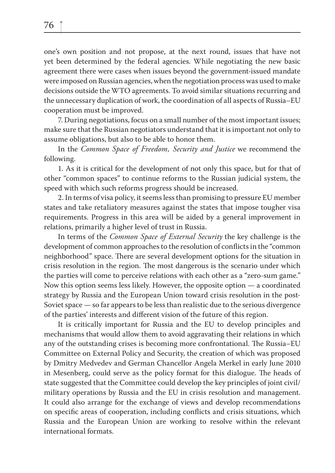one's own position and not propose, at the next round, issues that have not yet been determined by the federal agencies. While negotiating the new basic agreement there were cases when issues beyond the government-issued mandate were imposed on Russian agencies, when the negotiation process was used to make decisions outside the WTO agreements. To avoid similar situations recurring and the unnecessary duplication of work, the coordination of all aspects of Russia–EU cooperation must be improved.

7. During negotiations, focus on a small number of the most important issues; make sure that the Russian negotiators understand that it is important not only to assume obligations, but also to be able to honor them.

In the *Common Space of Freedom, Security and Justice* we recommend the following.

1. As it is critical for the development of not only this space, but for that of other "common spaces" to continue reforms to the Russian judicial system, the speed with which such reforms progress should be increased.

2. In terms of visa policy, it seems less than promising to pressure EU member states and take retaliatory measures against the states that impose tougher visa requirements. Progress in this area will be aided by a general improvement in relations, primarily a higher level of trust in Russia.

In terms of the *Common Space of External Security* the key challenge is the development of common approaches to the resolution of conflicts in the "common neighborhood" space. There are several development options for the situation in crisis resolution in the region. The most dangerous is the scenario under which the parties will come to perceive relations with each other as a "zero-sum game." Now this option seems less likely. However, the opposite option — a coordinated strategy by Russia and the European Union toward crisis resolution in the post-Soviet space — so far appears to be less than realistic due to the serious divergence of the parties' interests and different vision of the future of this region.

It is critically important for Russia and the EU to develop principles and mechanisms that would allow them to avoid aggravating their relations in which any of the outstanding crises is becoming more confrontational. The Russia–EU Committee on External Policy and Security, the creation of which was proposed by Dmitry Medvedev and German Chancellor Angela Merkel in early June 2010 in Mesenberg, could serve as the policy format for this dialogue. The heads of state suggested that the Committee could develop the key principles of joint civil/ military operations by Russia and the EU in crisis resolution and management. It could also arrange for the exchange of views and develop recommendations on specific areas of cooperation, including conflicts and crisis situations, which Russia and the European Union are working to resolve within the relevant international formats.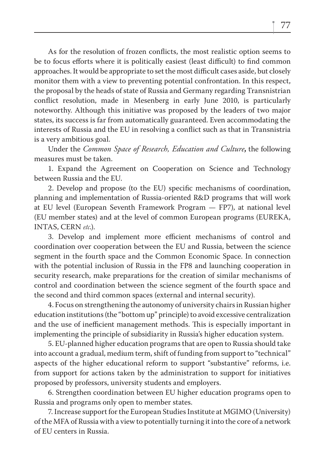As for the resolution of frozen conflicts, the most realistic option seems to be to focus efforts where it is politically easiest (least difficult) to find common approaches. It would be appropriate to set the most difficult cases aside, but closely monitor them with a view to preventing potential confrontation. In this respect, the proposal by the heads of state of Russia and Germany regarding Transnistrian conflict resolution, made in Mesenberg in early June 2010, is particularly noteworthy. Although this initiative was proposed by the leaders of two major states, its success is far from automatically guaranteed. Even accommodating the interests of Russia and the EU in resolving a conflict such as that in Transnistria is a very ambitious goal.

Under the *Common Space of Research, Education and Culture***,** the following measures must be taken.

1. Expand the Agreement on Cooperation on Science and Technology between Russia and the EU.

2. Develop and propose (to the EU) specific mechanisms of coordination, planning and implementation of Russia-oriented R&D programs that will work at EU level (European Seventh Framework Program — FP7), at national level (EU member states) and at the level of common European programs (EUREKA, INTAS, CERN *etc*.).

3. Develop and implement more efficient mechanisms of control and coordination over cooperation between the EU and Russia, between the science segment in the fourth space and the Common Economic Space. In connection with the potential inclusion of Russia in the FP8 and launching cooperation in security research, make preparations for the creation of similar mechanisms of control and coordination between the science segment of the fourth space and the second and third common spaces (external and internal security).

4. Focus on strengthening the autonomy of university chairs in Russian higher education institutions (the "bottom up" principle) to avoid excessive centralization and the use of inefficient management methods. This is especially important in implementing the principle of subsidiarity in Russia's higher education system.

5. EU-planned higher education programs that are open to Russia should take into account a gradual, medium term, shift of funding from support to "technical" aspects of the higher educational reform to support "substantive" reforms, i.e. from support for actions taken by the administration to support for initiatives proposed by professors, university students and employers.

6. Strengthen coordination between EU higher education programs open to Russia and programs only open to member states.

7. Increase support for the European Studies Institute at MGIMO (University) of the MFA of Russia with a view to potentially turning it into the core of a network of EU centers in Russia.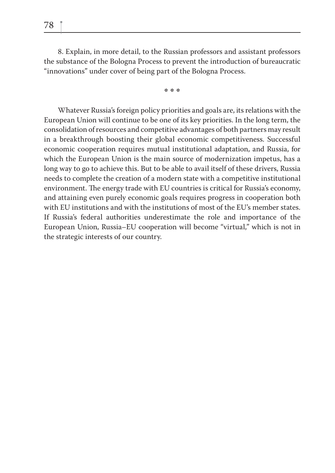8. Explain, in more detail, to the Russian professors and assistant professors the substance of the Bologna Process to prevent the introduction of bureaucratic "innovations" under cover of being part of the Bologna Process.

**\* \* \***

Whatever Russia's foreign policy priorities and goals are, its relations with the European Union will continue to be one of its key priorities. In the long term, the consolidation of resources and competitive advantages of both partners may result in a breakthrough boosting their global economic competitiveness. Successful economic cooperation requires mutual institutional adaptation, and Russia, for which the European Union is the main source of modernization impetus, has a long way to go to achieve this. But to be able to avail itself of these drivers, Russia needs to complete the creation of a modern state with a competitive institutional environment. The energy trade with EU countries is critical for Russia's economy, and attaining even purely economic goals requires progress in cooperation both with EU institutions and with the institutions of most of the EU's member states. If Russia's federal authorities underestimate the role and importance of the European Union, Russia–EU cooperation will become "virtual," which is not in the strategic interests of our country.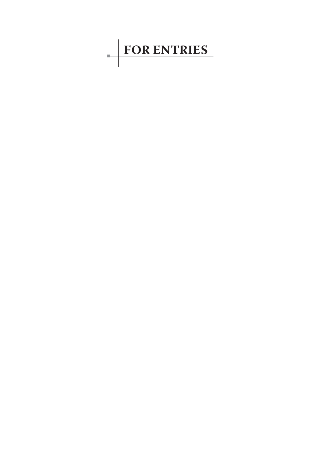